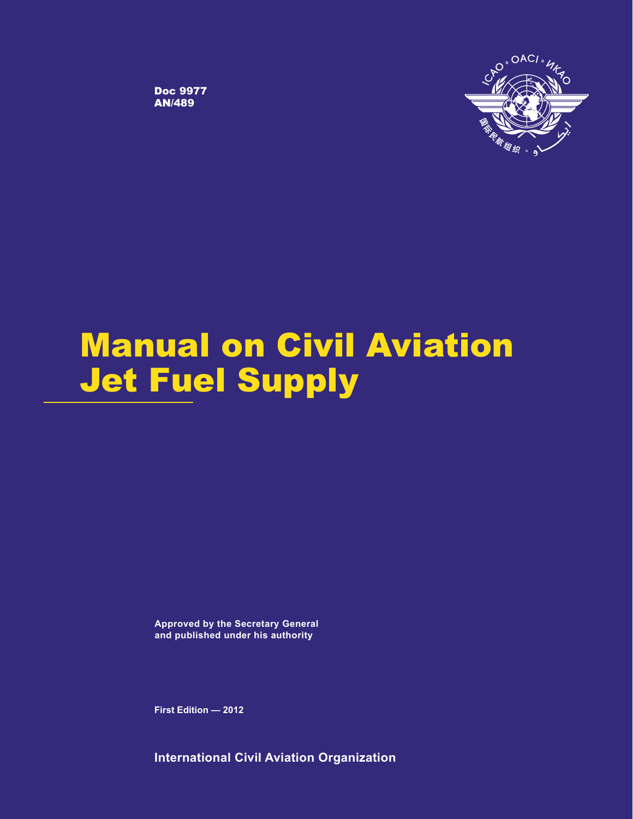

Doc 9977 AN/489

# Manual on Civil Aviation Jet Fuel Supply

**Approved by the Secretary General and published under his authority**

**First Edition — 2012**

**International Civil Aviation Organization**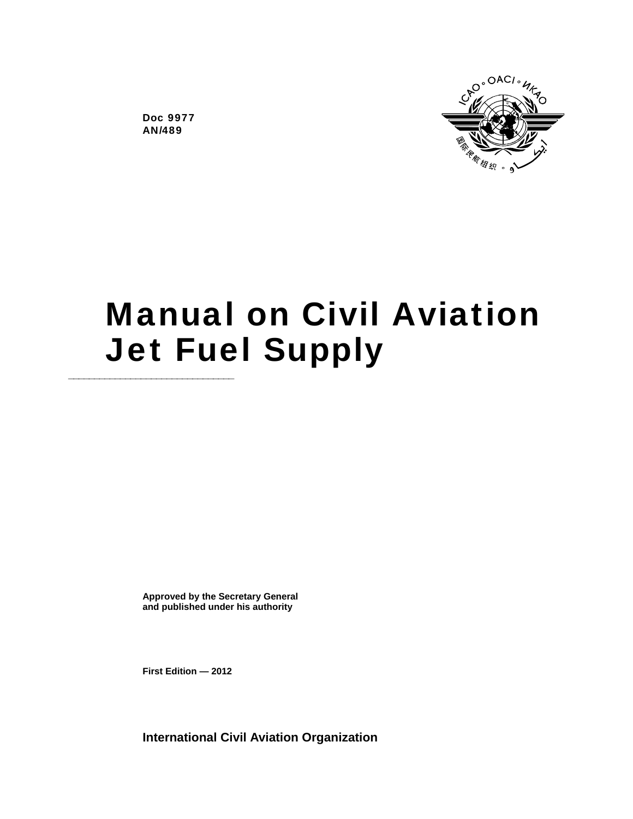

Doc 9977 AN/489

# Manual on Civil Aviation **Jet Fuel Supply**

**Approved by the Secretary General and published under his authority** 

**First Edition — 2012** 

**International Civil Aviation Organization**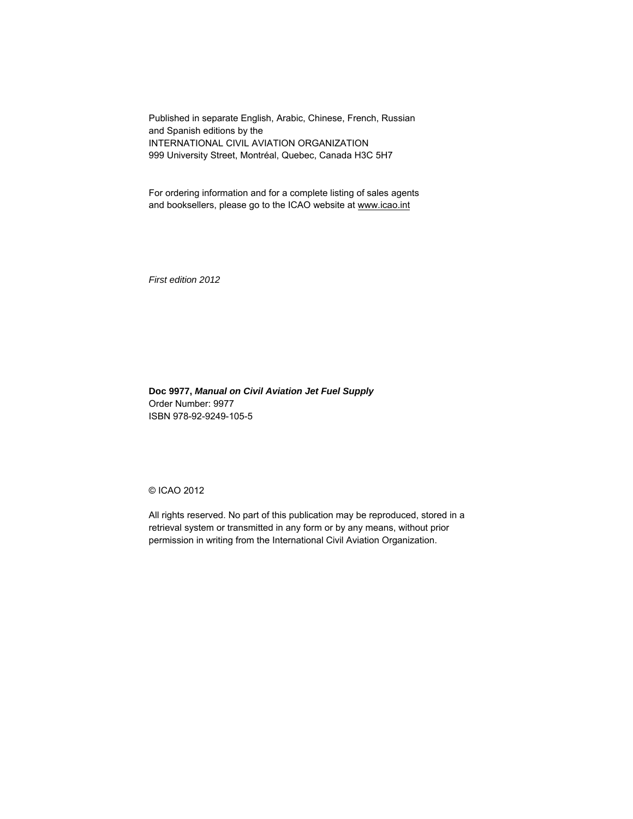Published in separate English, Arabic, Chinese, French, Russian and Spanish editions by the INTERNATIONAL CIVIL AVIATION ORGANIZATION 999 University Street, Montréal, Quebec, Canada H3C 5H7

For ordering information and for a complete listing of sales agents and booksellers, please go to the ICAO website at www.icao.int

*First edition 2012* 

**Doc 9977,** *Manual on Civil Aviation Jet Fuel Supply* Order Number: 9977 ISBN 978-92-9249-105-5

### © ICAO 2012

All rights reserved. No part of this publication may be reproduced, stored in a retrieval system or transmitted in any form or by any means, without prior permission in writing from the International Civil Aviation Organization.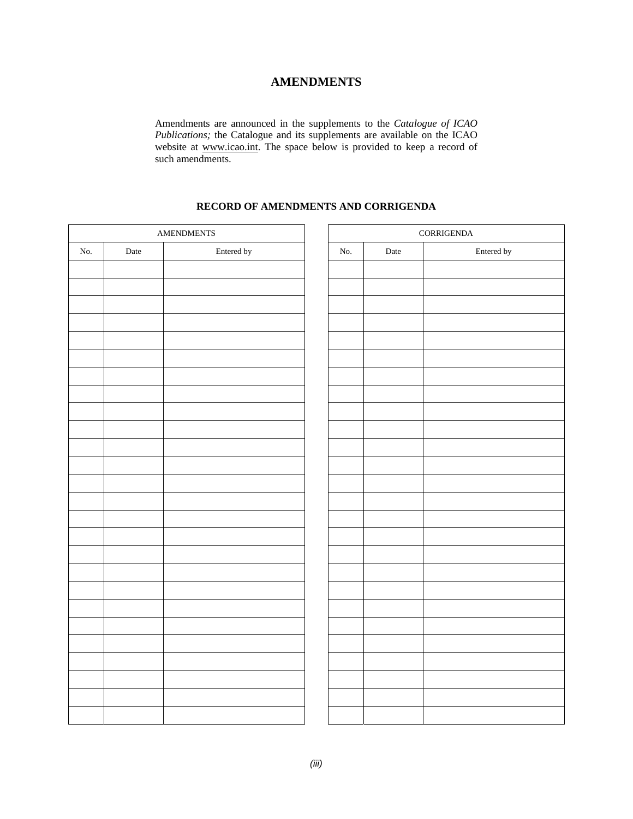### **AMENDMENTS**

Amendments are announced in the supplements to the *Catalogue of ICAO Publications;* the Catalogue and its supplements are available on the ICAO website at www.icao.int. The space below is provided to keep a record of such amendments.

### **RECORD OF AMENDMENTS AND CORRIGENDA**

| $\operatorname{AMENDMENTS}$ |      |            |  | $\mbox{CORRIGENDA}$ |      |            |
|-----------------------------|------|------------|--|---------------------|------|------------|
| No.                         | Date | Entered by |  | No.                 | Date | Entered by |
|                             |      |            |  |                     |      |            |
|                             |      |            |  |                     |      |            |
|                             |      |            |  |                     |      |            |
|                             |      |            |  |                     |      |            |
|                             |      |            |  |                     |      |            |
|                             |      |            |  |                     |      |            |
|                             |      |            |  |                     |      |            |
|                             |      |            |  |                     |      |            |
|                             |      |            |  |                     |      |            |
|                             |      |            |  |                     |      |            |
|                             |      |            |  |                     |      |            |
|                             |      |            |  |                     |      |            |
|                             |      |            |  |                     |      |            |
|                             |      |            |  |                     |      |            |
|                             |      |            |  |                     |      |            |
|                             |      |            |  |                     |      |            |
|                             |      |            |  |                     |      |            |
|                             |      |            |  |                     |      |            |
|                             |      |            |  |                     |      |            |
|                             |      |            |  |                     |      |            |
|                             |      |            |  |                     |      |            |
|                             |      |            |  |                     |      |            |
|                             |      |            |  |                     |      |            |
|                             |      |            |  |                     |      |            |
|                             |      |            |  |                     |      |            |
|                             |      |            |  |                     |      |            |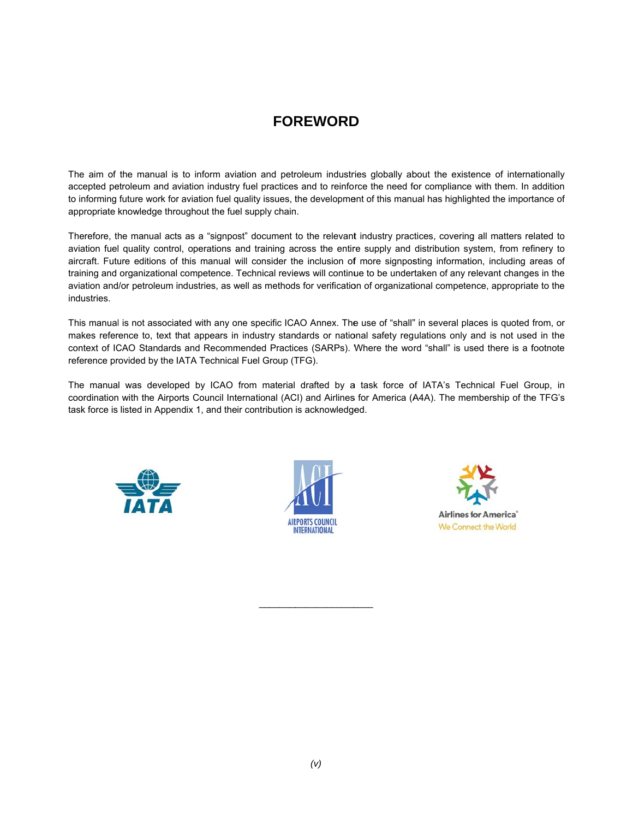# **FOREWORD**

The aim of the manual is to inform aviation and petroleum industries globally about the existence of internationally accepted petroleum and aviation industry fuel practices and to reinforce the need for compliance with them. In addition to informing future work for aviation fuel quality issues, the development of this manual has highlighted the importance of appropriate knowledge throughout the fuel supply chain.

Therefore, the manual acts as a "signpost" document to the relevant industry practices, covering all matters related to aviation fuel quality control, operations and training across the entire supply and distribution system, from refinery to aircraft. Future editions of this manual will consider the inclusion of more signposting information, including areas of training and organizational competence. Technical reviews will continue to be undertaken of any relevant changes in the aviation and/or petroleum industries, as well as methods for verification of organizational competence, appropriate to the industries.

This manual is not associated with any one specific ICAO Annex. The use of "shall" in several places is quoted from, or makes reference to, text that appears in industry standards or national safety regulations only and is not used in the context of ICAO Standards and Recommended Practices (SARPs). Where the word "shall" is used there is a footnote reference provided by the IATA Technical Fuel Group (TFG).

The manual was developed by ICAO from material drafted by a task force of IATA's Technical Fuel Group, in coordination with the Airports Council International (ACI) and Airlines for America (A4A). The membership of the TFG's task force is listed in Appendix 1, and their contribution is acknowledged.





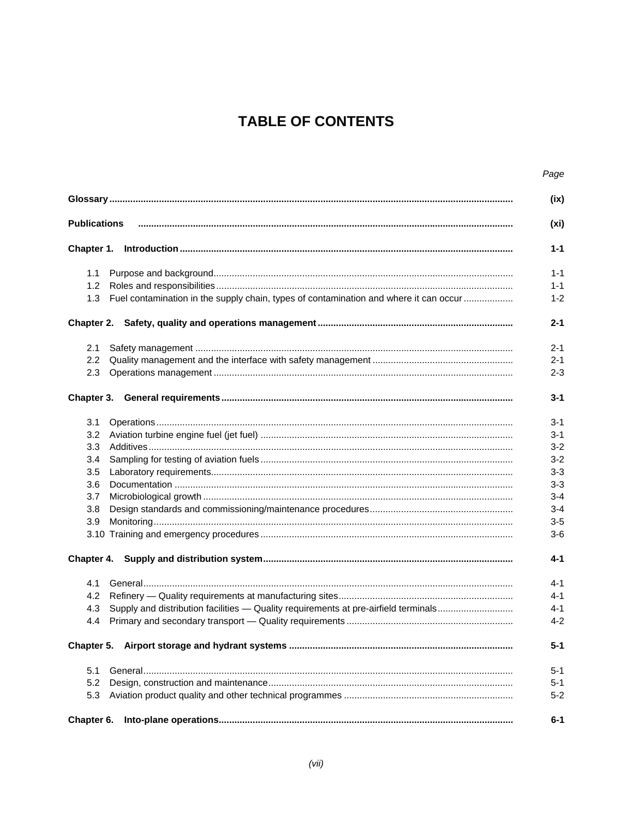# **TABLE OF CONTENTS**

|                                                                                              | Page    |
|----------------------------------------------------------------------------------------------|---------|
|                                                                                              | (ix)    |
| <b>Publications</b>                                                                          | (xi)    |
| Chapter 1.                                                                                   | $1 - 1$ |
| 1.1                                                                                          | $1 - 1$ |
| 1.2                                                                                          | $1 - 1$ |
| Fuel contamination in the supply chain, types of contamination and where it can occur<br>1.3 | $1 - 2$ |
|                                                                                              | $2 - 1$ |
| 2.1                                                                                          | $2 - 1$ |
| $2.2\phantom{0}$                                                                             | $2 - 1$ |
| 2.3                                                                                          | $2 - 3$ |
| Chapter 3.                                                                                   | $3 - 1$ |
| 3.1                                                                                          | $3 - 1$ |
| 3.2                                                                                          | $3 - 1$ |
| 3.3                                                                                          | $3 - 2$ |
| 3.4                                                                                          | $3 - 2$ |
| 3.5                                                                                          | $3 - 3$ |
| 3.6                                                                                          | $3 - 3$ |
| 3.7                                                                                          | $3 - 4$ |
| 3.8                                                                                          | $3 - 4$ |
| 3.9                                                                                          | $3-5$   |
|                                                                                              | $3-6$   |
| Chapter 4.                                                                                   | $4 - 1$ |
| 4.1                                                                                          | $4 - 1$ |
| 4.2                                                                                          | $4 - 1$ |
| Supply and distribution facilities - Quality requirements at pre-airfield terminals<br>4.3   | $4 - 1$ |
| 4.4                                                                                          | $4 - 2$ |
| Chapter 5.                                                                                   | $5 - 1$ |
| 5.1                                                                                          | $5-1$   |
| 5.2                                                                                          | $5 - 1$ |
| 5.3                                                                                          | $5 - 2$ |
| Chapter 6.                                                                                   | $6 - 1$ |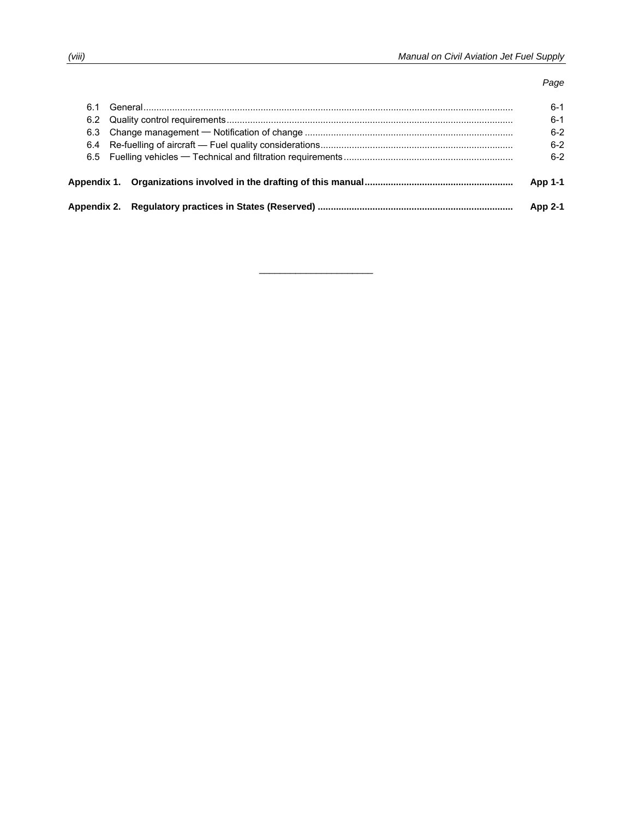### *Page*

| 6.1 |  |                                                                                  | ճ-1            |
|-----|--|----------------------------------------------------------------------------------|----------------|
|     |  |                                                                                  |                |
|     |  |                                                                                  | $6 - 2$        |
|     |  |                                                                                  | $6-2$          |
|     |  |                                                                                  | $6 - 2$        |
|     |  |                                                                                  | <b>App 1-1</b> |
|     |  | Appendix 2. Regulatory practices in States (Reserved) …………………………………………………………………… | App 2-1        |

 $\mathcal{L}_\text{max}$  , where  $\mathcal{L}_\text{max}$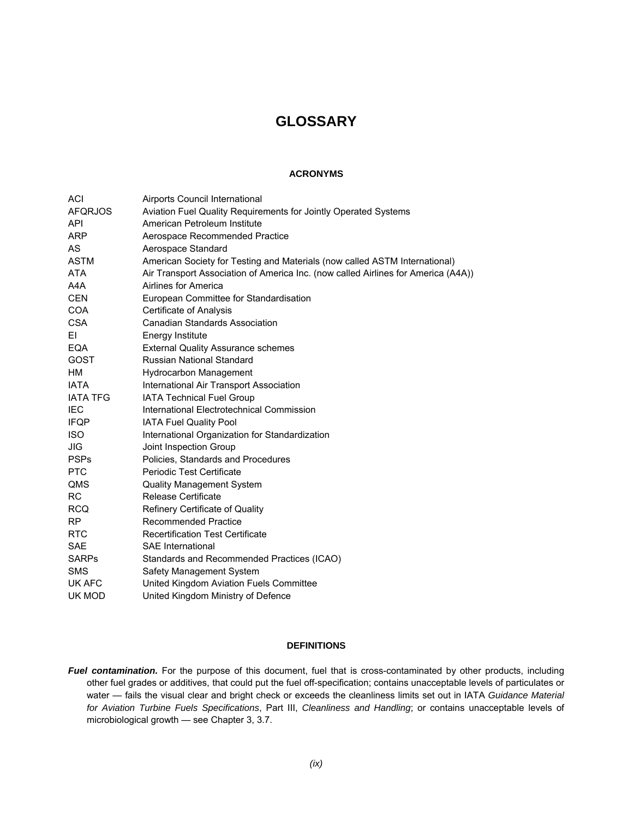### **GLOSSARY**

### **ACRONYMS**

| ACI             | Airports Council International                                                    |
|-----------------|-----------------------------------------------------------------------------------|
| <b>AFQRJOS</b>  | Aviation Fuel Quality Requirements for Jointly Operated Systems                   |
| <b>API</b>      | American Petroleum Institute                                                      |
| <b>ARP</b>      | Aerospace Recommended Practice                                                    |
| AS              | Aerospace Standard                                                                |
| <b>ASTM</b>     | American Society for Testing and Materials (now called ASTM International)        |
| <b>ATA</b>      | Air Transport Association of America Inc. (now called Airlines for America (A4A)) |
| A4A             | Airlines for America                                                              |
| <b>CEN</b>      | European Committee for Standardisation                                            |
| <b>COA</b>      | Certificate of Analysis                                                           |
| <b>CSA</b>      | <b>Canadian Standards Association</b>                                             |
| ΕI              | <b>Energy Institute</b>                                                           |
| EQA             | <b>External Quality Assurance schemes</b>                                         |
| <b>GOST</b>     | Russian National Standard                                                         |
| <b>HM</b>       | <b>Hydrocarbon Management</b>                                                     |
| <b>IATA</b>     | International Air Transport Association                                           |
| <b>IATA TFG</b> | IATA Technical Fuel Group                                                         |
| <b>IEC</b>      | International Electrotechnical Commission                                         |
| <b>IFQP</b>     | <b>IATA Fuel Quality Pool</b>                                                     |
| <b>ISO</b>      | International Organization for Standardization                                    |
| JIG             | Joint Inspection Group                                                            |
| <b>PSPs</b>     | Policies, Standards and Procedures                                                |
| <b>PTC</b>      | Periodic Test Certificate                                                         |
| QMS             | <b>Quality Management System</b>                                                  |
| <b>RC</b>       | <b>Release Certificate</b>                                                        |
| <b>RCQ</b>      | Refinery Certificate of Quality                                                   |
| <b>RP</b>       | <b>Recommended Practice</b>                                                       |
| <b>RTC</b>      | <b>Recertification Test Certificate</b>                                           |
| <b>SAE</b>      | <b>SAE</b> International                                                          |
| <b>SARPs</b>    | Standards and Recommended Practices (ICAO)                                        |
| <b>SMS</b>      | Safety Management System                                                          |
| UK AFC          | United Kingdom Aviation Fuels Committee                                           |
| UK MOD          | United Kingdom Ministry of Defence                                                |

### **DEFINITIONS**

Fuel contamination. For the purpose of this document, fuel that is cross-contaminated by other products, including other fuel grades or additives, that could put the fuel off-specification; contains unacceptable levels of particulates or water — fails the visual clear and bright check or exceeds the cleanliness limits set out in IATA *Guidance Material for Aviation Turbine Fuels Specifications*, Part III, *Cleanliness and Handling*; or contains unacceptable levels of microbiological growth — see Chapter 3, 3.7.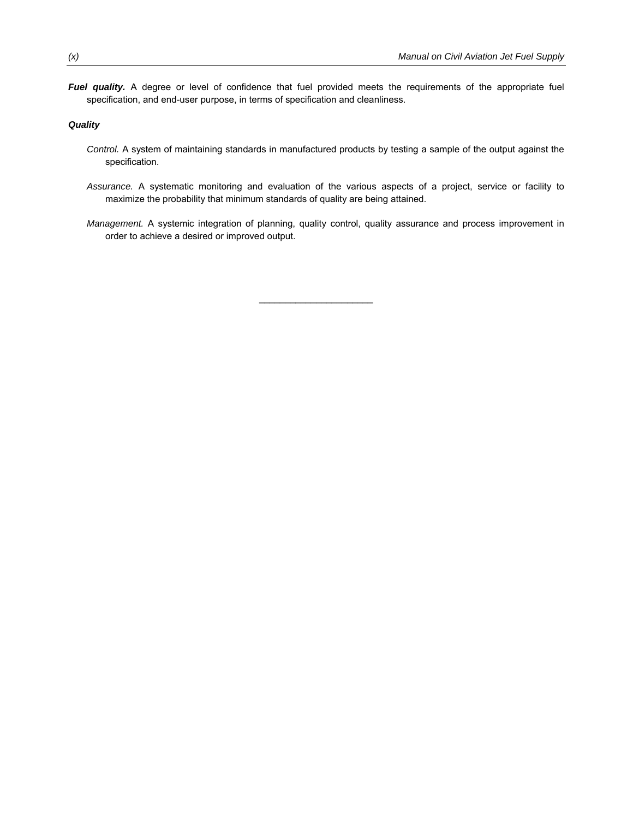*Fuel quality.* A degree or level of confidence that fuel provided meets the requirements of the appropriate fuel specification, and end-user purpose, in terms of specification and cleanliness.

### *Quality*

- *Control.* A system of maintaining standards in manufactured products by testing a sample of the output against the specification.
- *Assurance.* A systematic monitoring and evaluation of the various aspects of a project, service or facility to maximize the probability that minimum standards of quality are being attained.
- *Management.* A systemic integration of planning, quality control, quality assurance and process improvement in order to achieve a desired or improved output.

 $\mathcal{L}_\text{max}$  , where  $\mathcal{L}_\text{max}$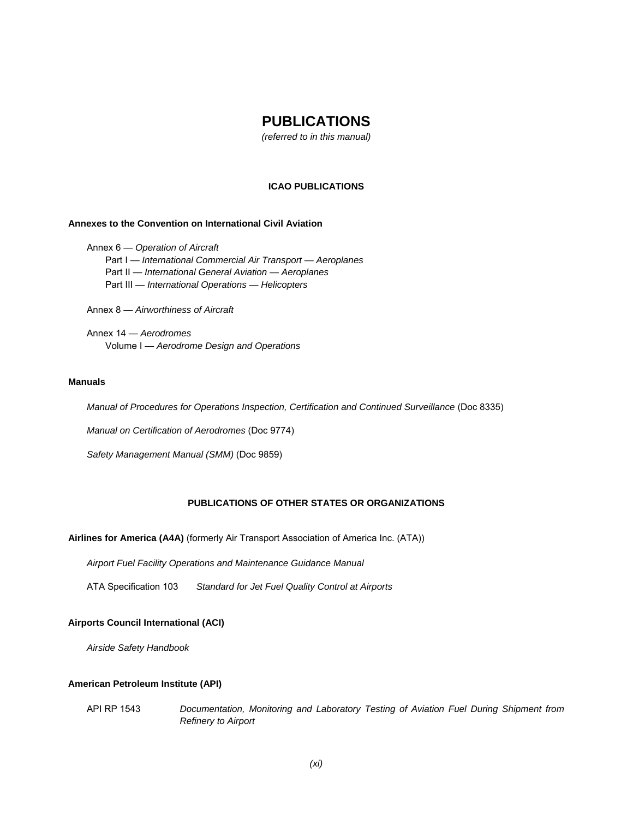### **PUBLICATIONS**

*(referred to in this manual)* 

### **ICAO PUBLICATIONS**

### **Annexes to the Convention on International Civil Aviation**

 Annex 6 — *Operation of Aircraft* Part I — *International Commercial Air Transport — Aeroplanes*  Part II — *International General Aviation — Aeroplanes* Part III — *International Operations — Helicopters*

Annex 8 — *Airworthiness of Aircraft* 

 Annex 14 — *Aerodromes* Volume I — *Aerodrome Design and Operations* 

#### **Manuals**

*Manual of Procedures for Operations Inspection, Certification and Continued Surveillance (Doc 8335)* 

*Manual on Certification of Aerodromes* (Doc 9774)

 *Safety Management Manual (SMM)* (Doc 9859)

### **PUBLICATIONS OF OTHER STATES OR ORGANIZATIONS**

### **Airlines for America (A4A)** (formerly Air Transport Association of America Inc. (ATA))

*Airport Fuel Facility Operations and Maintenance Guidance Manual* 

ATA Specification 103 *Standard for Jet Fuel Quality Control at Airports*

#### **Airports Council International (ACI)**

*Airside Safety Handbook* 

### **American Petroleum Institute (API)**

 API RP 1543 *Documentation, Monitoring and Laboratory Testing of Aviation Fuel During Shipment from Refinery to Airport*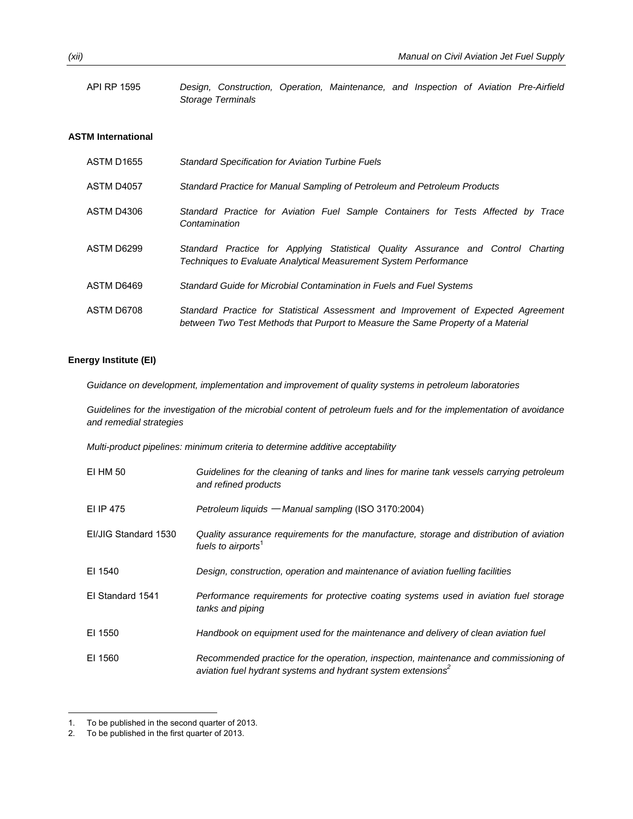API RP 1595 *Design, Construction, Operation, Maintenance, and Inspection of Aviation Pre-Airfield Storage Terminals*

### **ASTM International**

| ASTM D1655 | <b>Standard Specification for Aviation Turbine Fuels</b>                                                                                                               |
|------------|------------------------------------------------------------------------------------------------------------------------------------------------------------------------|
| ASTM D4057 | Standard Practice for Manual Sampling of Petroleum and Petroleum Products                                                                                              |
| ASTM D4306 | Standard Practice for Aviation Fuel Sample Containers for Tests Affected by Trace<br>Contamination                                                                     |
| ASTM D6299 | Standard Practice for Applying Statistical Quality Assurance and Control Charting<br>Techniques to Evaluate Analytical Measurement System Performance                  |
| ASTM D6469 | Standard Guide for Microbial Contamination in Fuels and Fuel Systems                                                                                                   |
| ASTM D6708 | Standard Practice for Statistical Assessment and Improvement of Expected Agreement<br>between Two Test Methods that Purport to Measure the Same Property of a Material |

### **Energy Institute (EI)**

*Guidance on development, implementation and improvement of quality systems in petroleum laboratories* 

*Guidelines for the investigation of the microbial content of petroleum fuels and for the implementation of avoidance and remedial strategies* 

*Multi-product pipelines: minimum criteria to determine additive acceptability*

| EI HM 50             | Guidelines for the cleaning of tanks and lines for marine tank vessels carrying petroleum<br>and refined products                                                |
|----------------------|------------------------------------------------------------------------------------------------------------------------------------------------------------------|
| EI IP 475            | Petroleum liquids — Manual sampling (ISO 3170:2004)                                                                                                              |
| EI/JIG Standard 1530 | Quality assurance requirements for the manufacture, storage and distribution of aviation<br>fuels to airports <sup>1</sup>                                       |
| EI 1540              | Design, construction, operation and maintenance of aviation fuelling facilities                                                                                  |
| El Standard 1541     | Performance requirements for protective coating systems used in aviation fuel storage<br>tanks and piping                                                        |
| EI 1550              | Handbook on equipment used for the maintenance and delivery of clean aviation fuel                                                                               |
| EI 1560              | Recommended practice for the operation, inspection, maintenance and commissioning of<br>aviation fuel hydrant systems and hydrant system extensions <sup>2</sup> |

l

<sup>1.</sup> To be published in the second quarter of 2013.<br>2. To be published in the first quarter of 2013.

To be published in the first quarter of 2013.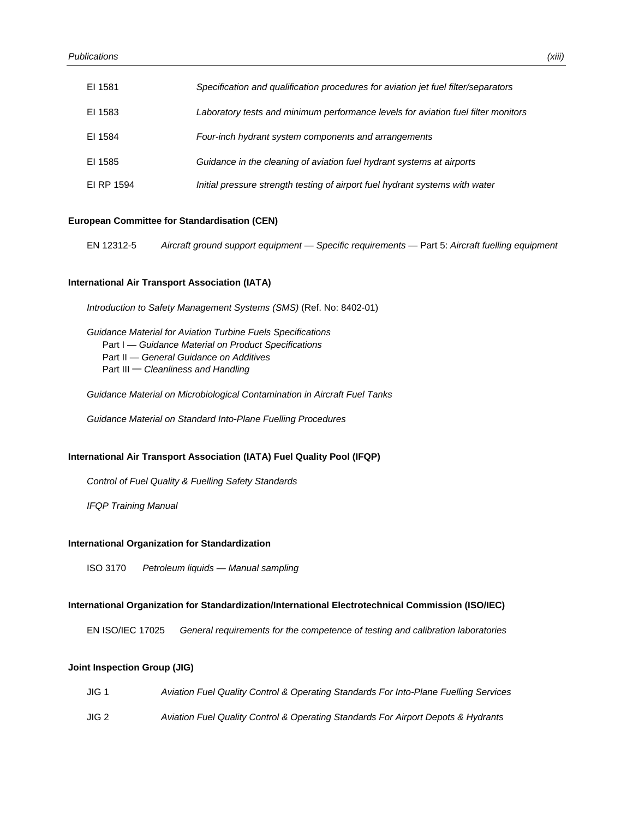| EI 1581    | Specification and qualification procedures for aviation jet fuel filter/separators |
|------------|------------------------------------------------------------------------------------|
| EI 1583    | Laboratory tests and minimum performance levels for aviation fuel filter monitors  |
| EI 1584    | Four-inch hydrant system components and arrangements                               |
| EI 1585    | Guidance in the cleaning of aviation fuel hydrant systems at airports              |
| EI RP 1594 | Initial pressure strength testing of airport fuel hydrant systems with water       |

### **European Committee for Standardisation (CEN)**

EN 12312-5 *Aircraft ground support equipment — Specific requirements* — Part 5: *Aircraft fuelling equipment*

### **International Air Transport Association (IATA)**

*Introduction to Safety Management Systems (SMS)* (Ref. No: 8402-01)

*Guidance Material for Aviation Turbine Fuels Specifications* Part I — *Guidance Material on Product Specifications* Part II — *General Guidance on Additives* Part III ─ *Cleanliness and Handling* 

*Guidance Material on Microbiological Contamination in Aircraft Fuel Tanks* 

*Guidance Material on Standard Into-Plane Fuelling Procedures* 

### **International Air Transport Association (IATA) Fuel Quality Pool (IFQP)**

 *Control of Fuel Quality & Fuelling Safety Standards* 

 *IFQP Training Manual* 

#### **International Organization for Standardization**

ISO 3170 *Petroleum liquids — Manual sampling* 

#### **International Organization for Standardization/International Electrotechnical Commission (ISO/IEC)**

EN ISO/IEC 17025 *General requirements for the competence of testing and calibration laboratories*

### **Joint Inspection Group (JIG)**

| JIG 1 | Aviation Fuel Quality Control & Operating Standards For Into-Plane Fuelling Services |
|-------|--------------------------------------------------------------------------------------|
| JIG 2 | Aviation Fuel Quality Control & Operating Standards For Airport Depots & Hydrants    |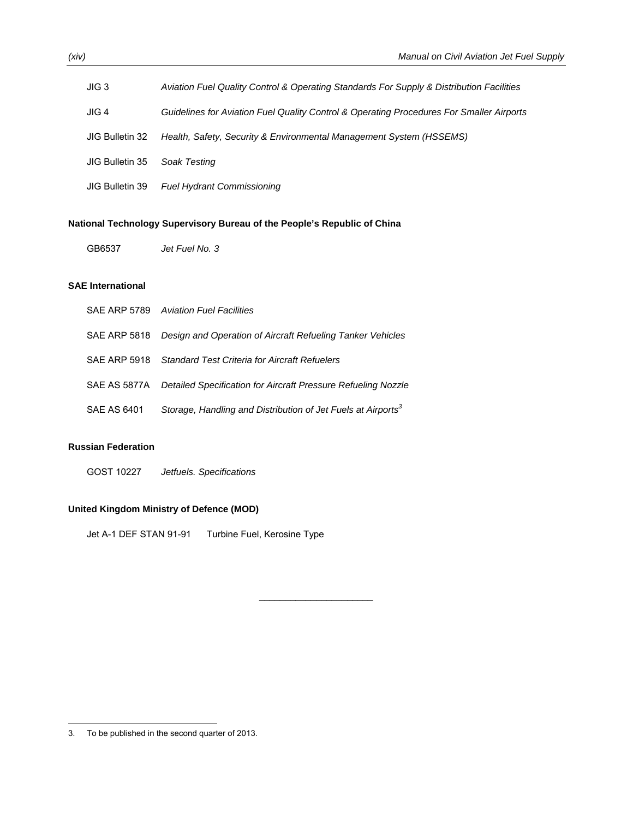| JIG <sub>3</sub> | Aviation Fuel Quality Control & Operating Standards For Supply & Distribution Facilities |
|------------------|------------------------------------------------------------------------------------------|
| JIG 4            | Guidelines for Aviation Fuel Quality Control & Operating Procedures For Smaller Airports |
| JIG Bulletin 32  | Health, Safety, Security & Environmental Management System (HSSEMS)                      |
| JIG Bulletin 35  | Soak Testing                                                                             |
| JIG Bulletin 39  | <b>Fuel Hydrant Commissioning</b>                                                        |

 $\mathcal{L}_\text{max}$  , where  $\mathcal{L}_\text{max}$ 

### **National Technology Supervisory Bureau of the People's Republic of China**

GB6537 *Jet Fuel No. 3*

### **SAE International**

|             | SAE ARP 5789 Aviation Fuel Facilities                                      |
|-------------|----------------------------------------------------------------------------|
|             | SAE ARP 5818 Design and Operation of Aircraft Refueling Tanker Vehicles    |
|             | SAE ARP 5918 Standard Test Criteria for Aircraft Refuelers                 |
|             | SAE AS 5877A Detailed Specification for Aircraft Pressure Refueling Nozzle |
| SAE AS 6401 | Storage, Handling and Distribution of Jet Fuels at Airports <sup>3</sup>   |

### **Russian Federation**

GOST 10227 *Jetfuels. Specifications* 

### **United Kingdom Ministry of Defence (MOD)**

Jet A-1 DEF STAN 91-91 Turbine Fuel, Kerosine Type

-

<sup>3.</sup> To be published in the second quarter of 2013.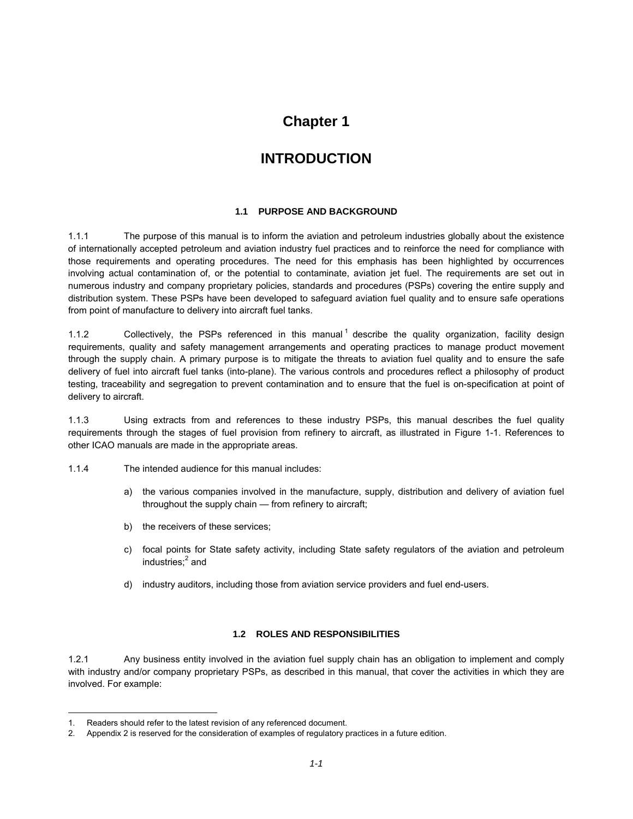## **Chapter 1**

# **INTRODUCTION**

### **1.1 PURPOSE AND BACKGROUND**

1.1.1 The purpose of this manual is to inform the aviation and petroleum industries globally about the existence of internationally accepted petroleum and aviation industry fuel practices and to reinforce the need for compliance with those requirements and operating procedures. The need for this emphasis has been highlighted by occurrences involving actual contamination of, or the potential to contaminate, aviation jet fuel. The requirements are set out in numerous industry and company proprietary policies, standards and procedures (PSPs) covering the entire supply and distribution system. These PSPs have been developed to safeguard aviation fuel quality and to ensure safe operations from point of manufacture to delivery into aircraft fuel tanks.

1.1.2 Collectively, the PSPs referenced in this manual <sup>1</sup> describe the quality organization, facility design requirements, quality and safety management arrangements and operating practices to manage product movement through the supply chain. A primary purpose is to mitigate the threats to aviation fuel quality and to ensure the safe delivery of fuel into aircraft fuel tanks (into-plane). The various controls and procedures reflect a philosophy of product testing, traceability and segregation to prevent contamination and to ensure that the fuel is on-specification at point of delivery to aircraft.

1.1.3 Using extracts from and references to these industry PSPs, this manual describes the fuel quality requirements through the stages of fuel provision from refinery to aircraft, as illustrated in Figure 1-1. References to other ICAO manuals are made in the appropriate areas.

- 1.1.4 The intended audience for this manual includes:
	- a) the various companies involved in the manufacture, supply, distribution and delivery of aviation fuel throughout the supply chain — from refinery to aircraft;
	- b) the receivers of these services;
	- c) focal points for State safety activity, including State safety regulators of the aviation and petroleum industries;<sup>2</sup> and
	- d) industry auditors, including those from aviation service providers and fuel end-users.

### **1.2 ROLES AND RESPONSIBILITIES**

1.2.1 Any business entity involved in the aviation fuel supply chain has an obligation to implement and comply with industry and/or company proprietary PSPs, as described in this manual, that cover the activities in which they are involved. For example:

l

<sup>1.</sup> Readers should refer to the latest revision of any referenced document.

<sup>2.</sup> Appendix 2 is reserved for the consideration of examples of regulatory practices in a future edition.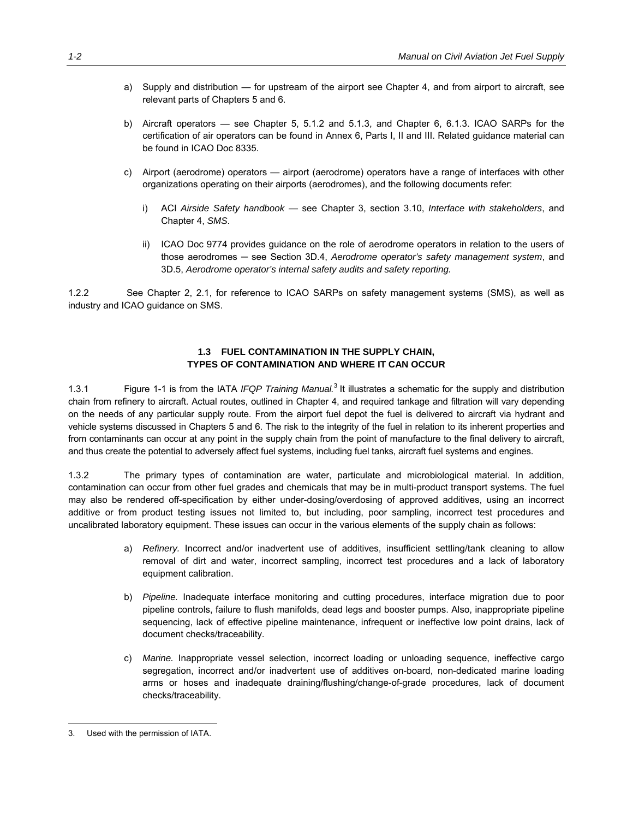- a) Supply and distribution for upstream of the airport see Chapter 4, and from airport to aircraft, see relevant parts of Chapters 5 and 6.
- b) Aircraft operators see Chapter 5, 5.1.2 and 5.1.3, and Chapter 6, 6.1.3. ICAO SARPs for the certification of air operators can be found in Annex 6, Parts I, II and III. Related guidance material can be found in ICAO Doc 8335.
- c) Airport (aerodrome) operators airport (aerodrome) operators have a range of interfaces with other organizations operating on their airports (aerodromes), and the following documents refer:
	- i) ACI *Airside Safety handbook* see Chapter 3, section 3.10, *Interface with stakeholders*, and Chapter 4, *SMS*.
	- ii) ICAO Doc 9774 provides guidance on the role of aerodrome operators in relation to the users of those aerodromes ─ see Section 3D.4, *Aerodrome operator's safety management system*, and 3D.5, *Aerodrome operator's internal safety audits and safety reporting.*

1.2.2 See Chapter 2, 2.1, for reference to ICAO SARPs on safety management systems (SMS), as well as industry and ICAO guidance on SMS.

### **1.3 FUEL CONTAMINATION IN THE SUPPLY CHAIN, TYPES OF CONTAMINATION AND WHERE IT CAN OCCUR**

1.3.1 Figure 1-1 is from the IATA *IFQP Training Manual.*<sup>3</sup> It illustrates a schematic for the supply and distribution chain from refinery to aircraft. Actual routes, outlined in Chapter 4, and required tankage and filtration will vary depending on the needs of any particular supply route. From the airport fuel depot the fuel is delivered to aircraft via hydrant and vehicle systems discussed in Chapters 5 and 6. The risk to the integrity of the fuel in relation to its inherent properties and from contaminants can occur at any point in the supply chain from the point of manufacture to the final delivery to aircraft, and thus create the potential to adversely affect fuel systems, including fuel tanks, aircraft fuel systems and engines.

1.3.2 The primary types of contamination are water, particulate and microbiological material. In addition, contamination can occur from other fuel grades and chemicals that may be in multi-product transport systems. The fuel may also be rendered off-specification by either under-dosing/overdosing of approved additives, using an incorrect additive or from product testing issues not limited to, but including, poor sampling, incorrect test procedures and uncalibrated laboratory equipment. These issues can occur in the various elements of the supply chain as follows:

- a) *Refinery.* Incorrect and/or inadvertent use of additives, insufficient settling/tank cleaning to allow removal of dirt and water, incorrect sampling, incorrect test procedures and a lack of laboratory equipment calibration.
- b) *Pipeline.* Inadequate interface monitoring and cutting procedures, interface migration due to poor pipeline controls, failure to flush manifolds, dead legs and booster pumps. Also, inappropriate pipeline sequencing, lack of effective pipeline maintenance, infrequent or ineffective low point drains, lack of document checks/traceability.
- c) *Marine.* Inappropriate vessel selection, incorrect loading or unloading sequence, ineffective cargo segregation, incorrect and/or inadvertent use of additives on-board, non-dedicated marine loading arms or hoses and inadequate draining/flushing/change-of-grade procedures, lack of document checks/traceability.

 $\overline{a}$ 

<sup>3.</sup> Used with the permission of IATA.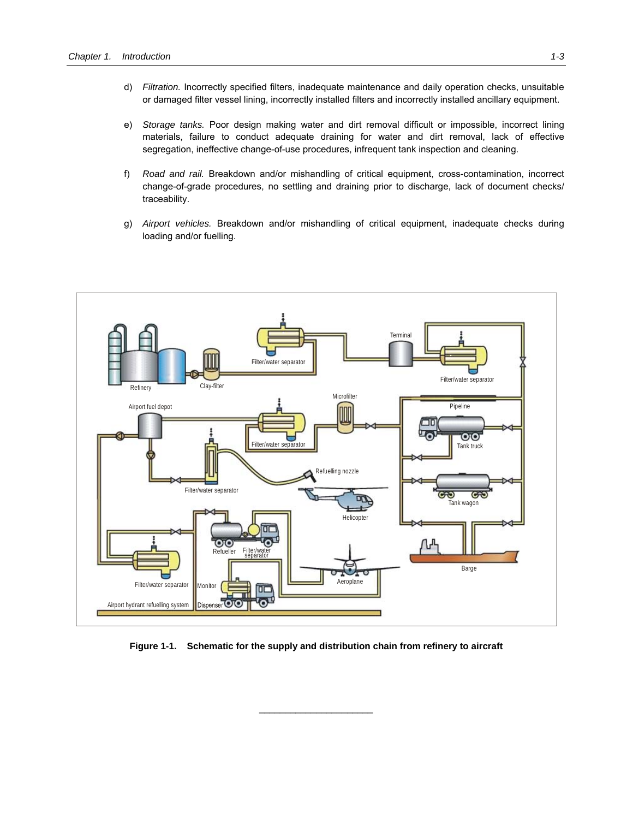- d) *Filtration.* Incorrectly specified filters, inadequate maintenance and daily operation checks, unsuitable or damaged filter vessel lining, incorrectly installed filters and incorrectly installed ancillary equipment.
- e) *Storage tanks.* Poor design making water and dirt removal difficult or impossible, incorrect lining materials, failure to conduct adequate draining for water and dirt removal, lack of effective segregation, ineffective change-of-use procedures, infrequent tank inspection and cleaning.
- f) *Road and rail.* Breakdown and/or mishandling of critical equipment, cross-contamination, incorrect change-of-grade procedures, no settling and draining prior to discharge, lack of document checks/ traceability.
- g) *Airport vehicles.* Breakdown and/or mishandling of critical equipment, inadequate checks during loading and/or fuelling.



**Figure 1-1. Schematic for the supply and distribution chain from refinery to aircraft** 

 $\mathcal{L}_\text{max}$  , where  $\mathcal{L}_\text{max}$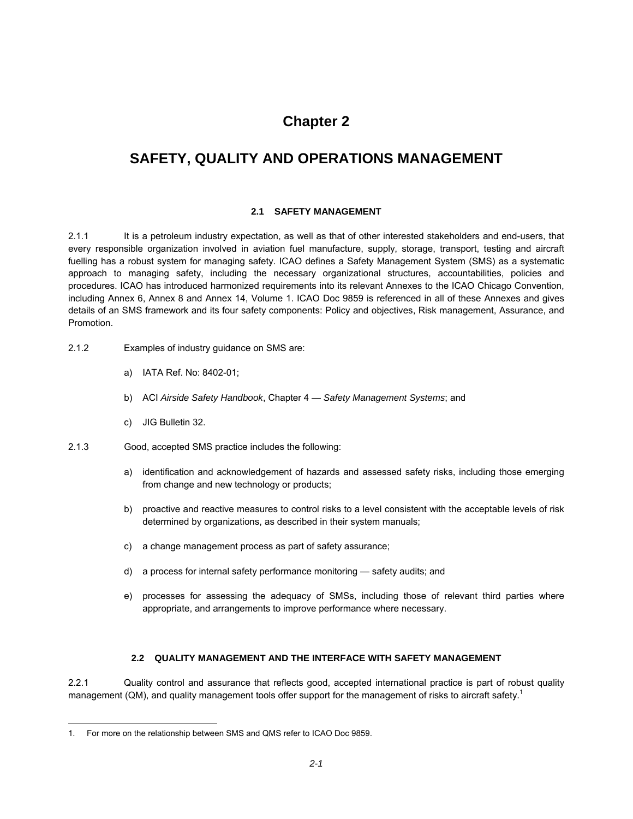# **Chapter 2**

# **SAFETY, QUALITY AND OPERATIONS MANAGEMENT**

### **2.1 SAFETY MANAGEMENT**

2.1.1 It is a petroleum industry expectation, as well as that of other interested stakeholders and end-users, that every responsible organization involved in aviation fuel manufacture, supply, storage, transport, testing and aircraft fuelling has a robust system for managing safety. ICAO defines a Safety Management System (SMS) as a systematic approach to managing safety, including the necessary organizational structures, accountabilities, policies and procedures. ICAO has introduced harmonized requirements into its relevant Annexes to the ICAO Chicago Convention, including Annex 6, Annex 8 and Annex 14, Volume 1. ICAO Doc 9859 is referenced in all of these Annexes and gives details of an SMS framework and its four safety components: Policy and objectives, Risk management, Assurance, and Promotion.

- 2.1.2 Examples of industry guidance on SMS are:
	- a) IATA Ref. No: 8402-01;
	- b) ACI *Airside Safety Handbook*, Chapter 4 *Safety Management Systems*; and
	- c) JIG Bulletin 32.
- 2.1.3 Good, accepted SMS practice includes the following:
	- a) identification and acknowledgement of hazards and assessed safety risks, including those emerging from change and new technology or products;
	- b) proactive and reactive measures to control risks to a level consistent with the acceptable levels of risk determined by organizations, as described in their system manuals;
	- c) a change management process as part of safety assurance;
	- d) a process for internal safety performance monitoring safety audits; and
	- e) processes for assessing the adequacy of SMSs, including those of relevant third parties where appropriate, and arrangements to improve performance where necessary.

### **2.2 QUALITY MANAGEMENT AND THE INTERFACE WITH SAFETY MANAGEMENT**

2.2.1 Quality control and assurance that reflects good, accepted international practice is part of robust quality management (QM), and quality management tools offer support for the management of risks to aircraft safety.<sup>1</sup>

 $\overline{a}$ 

<sup>1.</sup> For more on the relationship between SMS and QMS refer to ICAO Doc 9859.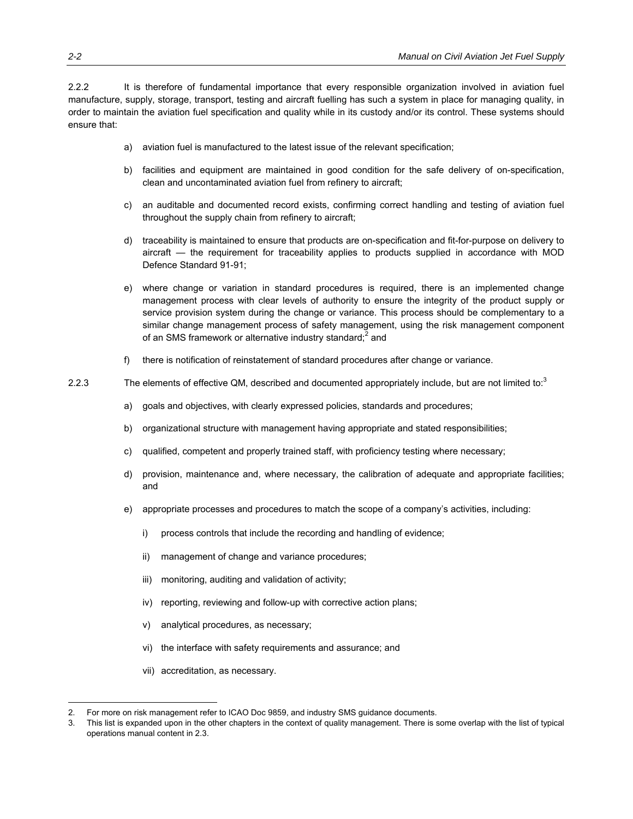2.2.2 It is therefore of fundamental importance that every responsible organization involved in aviation fuel manufacture, supply, storage, transport, testing and aircraft fuelling has such a system in place for managing quality, in order to maintain the aviation fuel specification and quality while in its custody and/or its control. These systems should ensure that:

- a) aviation fuel is manufactured to the latest issue of the relevant specification;
- b) facilities and equipment are maintained in good condition for the safe delivery of on-specification, clean and uncontaminated aviation fuel from refinery to aircraft;
- c) an auditable and documented record exists, confirming correct handling and testing of aviation fuel throughout the supply chain from refinery to aircraft;
- d) traceability is maintained to ensure that products are on-specification and fit-for-purpose on delivery to aircraft — the requirement for traceability applies to products supplied in accordance with MOD Defence Standard 91-91;
- e) where change or variation in standard procedures is required, there is an implemented change management process with clear levels of authority to ensure the integrity of the product supply or service provision system during the change or variance. This process should be complementary to a similar change management process of safety management, using the risk management component of an SMS framework or alternative industry standard;<sup>2</sup> and
- f) there is notification of reinstatement of standard procedures after change or variance.
- 2.2.3 The elements of effective QM, described and documented appropriately include, but are not limited to:<sup>3</sup>
	- a) goals and objectives, with clearly expressed policies, standards and procedures;
	- b) organizational structure with management having appropriate and stated responsibilities;
	- c) qualified, competent and properly trained staff, with proficiency testing where necessary;
	- d) provision, maintenance and, where necessary, the calibration of adequate and appropriate facilities; and
	- e) appropriate processes and procedures to match the scope of a company's activities, including:
		- i) process controls that include the recording and handling of evidence;
		- ii) management of change and variance procedures;
		- iii) monitoring, auditing and validation of activity;
		- iv) reporting, reviewing and follow-up with corrective action plans;
		- v) analytical procedures, as necessary;
		- vi) the interface with safety requirements and assurance; and
		- vii) accreditation, as necessary.

 $\overline{a}$ 

<sup>2.</sup> For more on risk management refer to ICAO Doc 9859, and industry SMS guidance documents.

<sup>3.</sup> This list is expanded upon in the other chapters in the context of quality management. There is some overlap with the list of typical operations manual content in 2.3.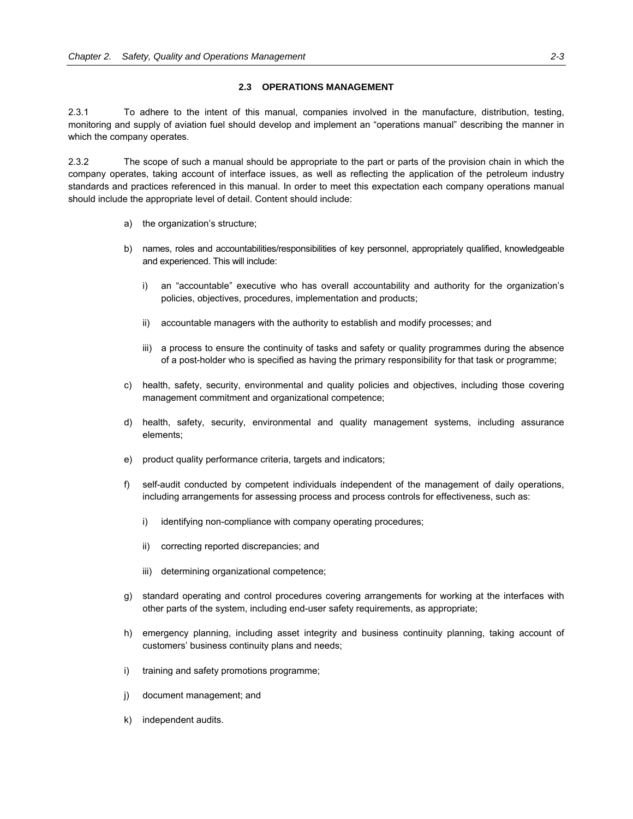### **2.3 OPERATIONS MANAGEMENT**

2.3.1 To adhere to the intent of this manual, companies involved in the manufacture, distribution, testing, monitoring and supply of aviation fuel should develop and implement an "operations manual" describing the manner in which the company operates.

2.3.2 The scope of such a manual should be appropriate to the part or parts of the provision chain in which the company operates, taking account of interface issues, as well as reflecting the application of the petroleum industry standards and practices referenced in this manual. In order to meet this expectation each company operations manual should include the appropriate level of detail. Content should include:

- a) the organization's structure;
- b) names, roles and accountabilities/responsibilities of key personnel, appropriately qualified, knowledgeable and experienced. This will include:
	- i) an "accountable" executive who has overall accountability and authority for the organization's policies, objectives, procedures, implementation and products;
	- ii) accountable managers with the authority to establish and modify processes; and
	- iii) a process to ensure the continuity of tasks and safety or quality programmes during the absence of a post-holder who is specified as having the primary responsibility for that task or programme;
- c) health, safety, security, environmental and quality policies and objectives, including those covering management commitment and organizational competence;
- d) health, safety, security, environmental and quality management systems, including assurance elements;
- e) product quality performance criteria, targets and indicators;
- f) self-audit conducted by competent individuals independent of the management of daily operations, including arrangements for assessing process and process controls for effectiveness, such as:
	- i) identifying non-compliance with company operating procedures;
	- ii) correcting reported discrepancies; and
	- iii) determining organizational competence;
- g) standard operating and control procedures covering arrangements for working at the interfaces with other parts of the system, including end-user safety requirements, as appropriate;
- h) emergency planning, including asset integrity and business continuity planning, taking account of customers' business continuity plans and needs;
- i) training and safety promotions programme;
- j) document management; and
- k) independent audits.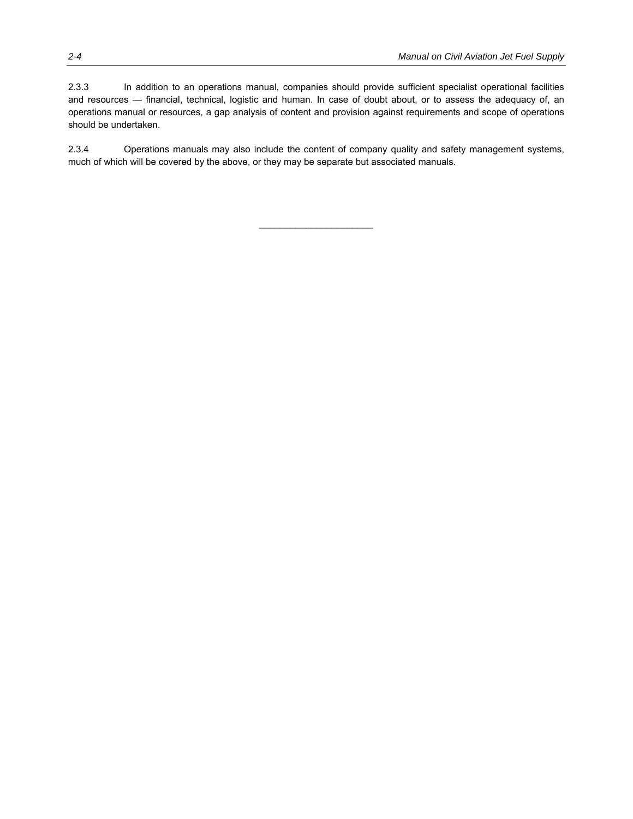should be undertaken. 2.3.4 Operations manuals may also include the content of company quality and safety management systems,

operations manual or resources, a gap analysis of content and provision against requirements and scope of operations

much of which will be covered by the above, or they may be separate but associated manuals.

 $\mathcal{L}_\text{max}$  , where  $\mathcal{L}_\text{max}$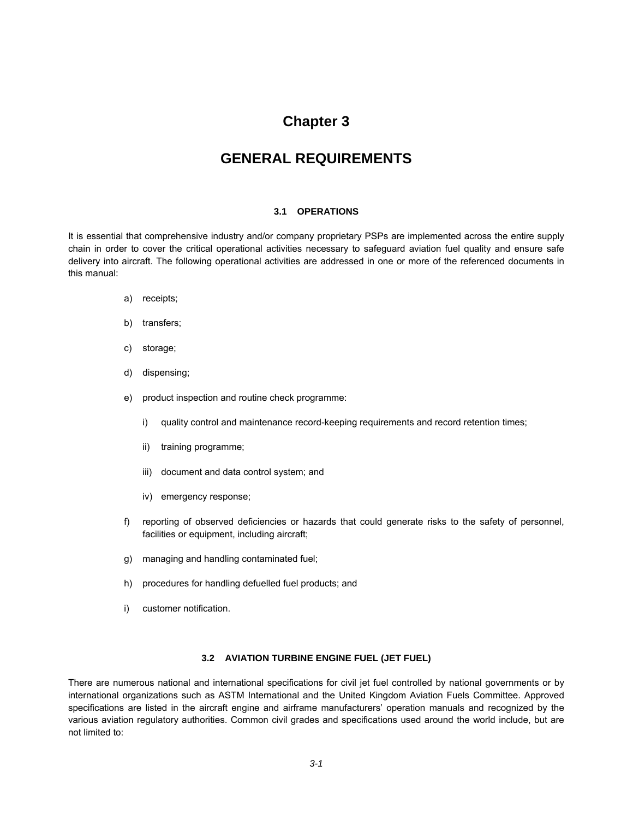### **Chapter 3**

### **GENERAL REQUIREMENTS**

### **3.1 OPERATIONS**

It is essential that comprehensive industry and/or company proprietary PSPs are implemented across the entire supply chain in order to cover the critical operational activities necessary to safeguard aviation fuel quality and ensure safe delivery into aircraft. The following operational activities are addressed in one or more of the referenced documents in this manual:

- a) receipts;
- b) transfers;
- c) storage;
- d) dispensing;
- e) product inspection and routine check programme:
	- i) quality control and maintenance record-keeping requirements and record retention times;
	- ii) training programme;
	- iii) document and data control system; and
	- iv) emergency response;
- f) reporting of observed deficiencies or hazards that could generate risks to the safety of personnel, facilities or equipment, including aircraft;
- g) managing and handling contaminated fuel;
- h) procedures for handling defuelled fuel products; and
- i) customer notification.

### **3.2 AVIATION TURBINE ENGINE FUEL (JET FUEL)**

There are numerous national and international specifications for civil jet fuel controlled by national governments or by international organizations such as ASTM International and the United Kingdom Aviation Fuels Committee. Approved specifications are listed in the aircraft engine and airframe manufacturers' operation manuals and recognized by the various aviation regulatory authorities. Common civil grades and specifications used around the world include, but are not limited to: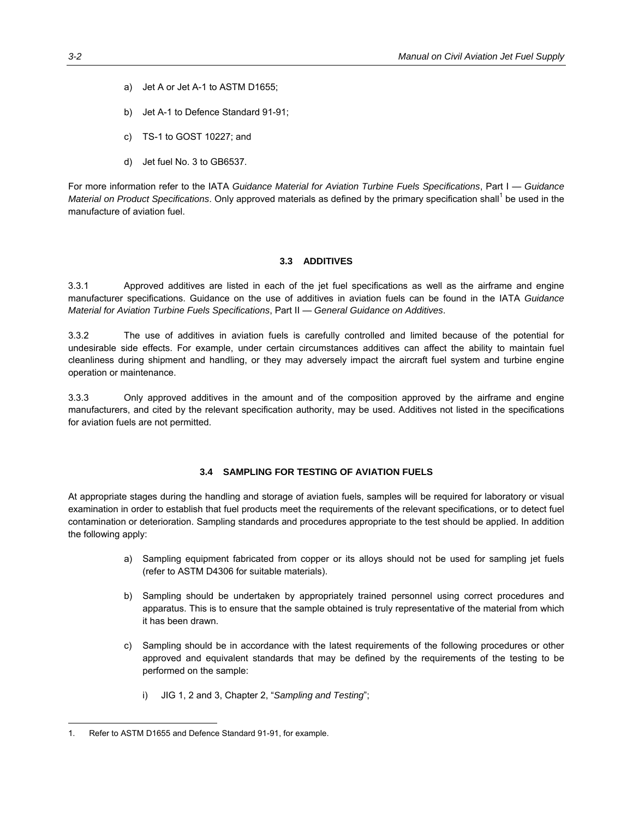- a) Jet A or Jet A-1 to ASTM D1655;
- b) Jet A-1 to Defence Standard 91-91;
- c) TS-1 to GOST 10227; and
- d) Jet fuel No. 3 to GB6537.

For more information refer to the IATA *Guidance Material for Aviation Turbine Fuels Specifications*, Part I — *Guidance*  Material on Product Specifications. Only approved materials as defined by the primary specification shall<sup>1</sup> be used in the manufacture of aviation fuel.

### **3.3 ADDITIVES**

3.3.1 Approved additives are listed in each of the jet fuel specifications as well as the airframe and engine manufacturer specifications. Guidance on the use of additives in aviation fuels can be found in the IATA *Guidance Material for Aviation Turbine Fuels Specifications*, Part II — *General Guidance on Additives*.

3.3.2 The use of additives in aviation fuels is carefully controlled and limited because of the potential for undesirable side effects. For example, under certain circumstances additives can affect the ability to maintain fuel cleanliness during shipment and handling, or they may adversely impact the aircraft fuel system and turbine engine operation or maintenance.

3.3.3 Only approved additives in the amount and of the composition approved by the airframe and engine manufacturers, and cited by the relevant specification authority, may be used. Additives not listed in the specifications for aviation fuels are not permitted.

### **3.4 SAMPLING FOR TESTING OF AVIATION FUELS**

At appropriate stages during the handling and storage of aviation fuels, samples will be required for laboratory or visual examination in order to establish that fuel products meet the requirements of the relevant specifications, or to detect fuel contamination or deterioration. Sampling standards and procedures appropriate to the test should be applied. In addition the following apply:

- a) Sampling equipment fabricated from copper or its alloys should not be used for sampling jet fuels (refer to ASTM D4306 for suitable materials).
- b) Sampling should be undertaken by appropriately trained personnel using correct procedures and apparatus. This is to ensure that the sample obtained is truly representative of the material from which it has been drawn.
- c) Sampling should be in accordance with the latest requirements of the following procedures or other approved and equivalent standards that may be defined by the requirements of the testing to be performed on the sample:
	- i) JIG 1, 2 and 3, Chapter 2, "*Sampling and Testing*";

-

<sup>1.</sup> Refer to ASTM D1655 and Defence Standard 91-91, for example.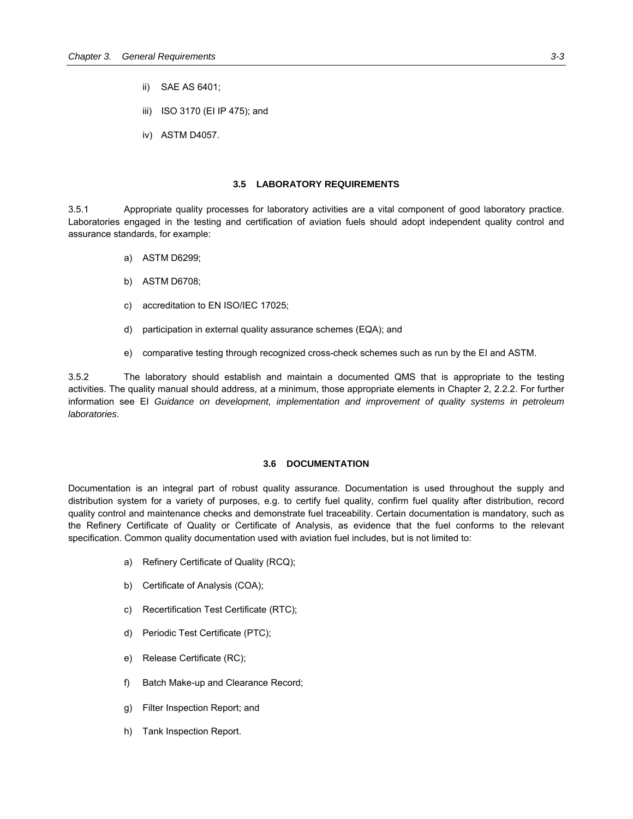- ii) SAE AS 6401;
- iii) ISO 3170 (EI IP 475); and
- iv) ASTM D4057.

### **3.5 LABORATORY REQUIREMENTS**

3.5.1 Appropriate quality processes for laboratory activities are a vital component of good laboratory practice. Laboratories engaged in the testing and certification of aviation fuels should adopt independent quality control and assurance standards, for example:

- a) ASTM D6299;
- b) ASTM D6708;
- c) accreditation to EN ISO/IEC 17025;
- d) participation in external quality assurance schemes (EQA); and
- e) comparative testing through recognized cross-check schemes such as run by the EI and ASTM.

3.5.2 The laboratory should establish and maintain a documented QMS that is appropriate to the testing activities. The quality manual should address, at a minimum, those appropriate elements in Chapter 2, 2.2.2. For further information see EI *Guidance on development, implementation and improvement of quality systems in petroleum laboratories*.

### **3.6 DOCUMENTATION**

Documentation is an integral part of robust quality assurance. Documentation is used throughout the supply and distribution system for a variety of purposes, e.g. to certify fuel quality, confirm fuel quality after distribution, record quality control and maintenance checks and demonstrate fuel traceability. Certain documentation is mandatory, such as the Refinery Certificate of Quality or Certificate of Analysis, as evidence that the fuel conforms to the relevant specification. Common quality documentation used with aviation fuel includes, but is not limited to:

- a) Refinery Certificate of Quality (RCQ);
- b) Certificate of Analysis (COA);
- c) Recertification Test Certificate (RTC);
- d) Periodic Test Certificate (PTC);
- e) Release Certificate (RC);
- f) Batch Make-up and Clearance Record;
- g) Filter Inspection Report; and
- h) Tank Inspection Report.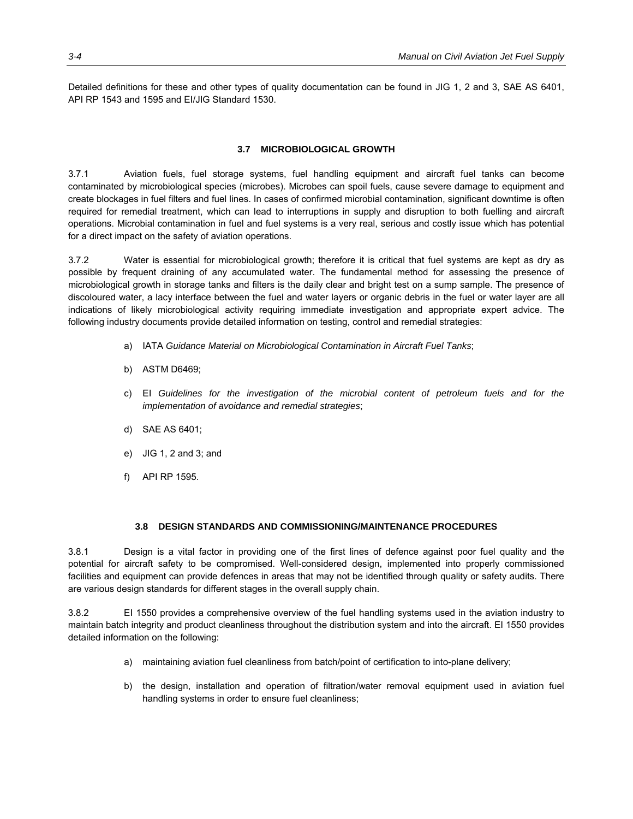Detailed definitions for these and other types of quality documentation can be found in JIG 1, 2 and 3, SAE AS 6401, API RP 1543 and 1595 and EI/JIG Standard 1530.

### **3.7 MICROBIOLOGICAL GROWTH**

3.7.1 Aviation fuels, fuel storage systems, fuel handling equipment and aircraft fuel tanks can become contaminated by microbiological species (microbes). Microbes can spoil fuels, cause severe damage to equipment and create blockages in fuel filters and fuel lines. In cases of confirmed microbial contamination, significant downtime is often required for remedial treatment, which can lead to interruptions in supply and disruption to both fuelling and aircraft operations. Microbial contamination in fuel and fuel systems is a very real, serious and costly issue which has potential for a direct impact on the safety of aviation operations.

3.7.2 Water is essential for microbiological growth; therefore it is critical that fuel systems are kept as dry as possible by frequent draining of any accumulated water. The fundamental method for assessing the presence of microbiological growth in storage tanks and filters is the daily clear and bright test on a sump sample. The presence of discoloured water, a lacy interface between the fuel and water layers or organic debris in the fuel or water layer are all indications of likely microbiological activity requiring immediate investigation and appropriate expert advice. The following industry documents provide detailed information on testing, control and remedial strategies:

- a) IATA *Guidance Material on Microbiological Contamination in Aircraft Fuel Tanks*;
- b) ASTM D6469;
- c) EI *Guidelines for the investigation of the microbial content of petroleum fuels and for the implementation of avoidance and remedial strategies*;
- d) SAE AS 6401;
- e) JIG 1, 2 and 3; and
- f) API RP 1595.

### **3.8 DESIGN STANDARDS AND COMMISSIONING/MAINTENANCE PROCEDURES**

3.8.1 Design is a vital factor in providing one of the first lines of defence against poor fuel quality and the potential for aircraft safety to be compromised. Well-considered design, implemented into properly commissioned facilities and equipment can provide defences in areas that may not be identified through quality or safety audits. There are various design standards for different stages in the overall supply chain.

3.8.2 EI 1550 provides a comprehensive overview of the fuel handling systems used in the aviation industry to maintain batch integrity and product cleanliness throughout the distribution system and into the aircraft. EI 1550 provides detailed information on the following:

- a) maintaining aviation fuel cleanliness from batch/point of certification to into-plane delivery;
- b) the design, installation and operation of filtration/water removal equipment used in aviation fuel handling systems in order to ensure fuel cleanliness;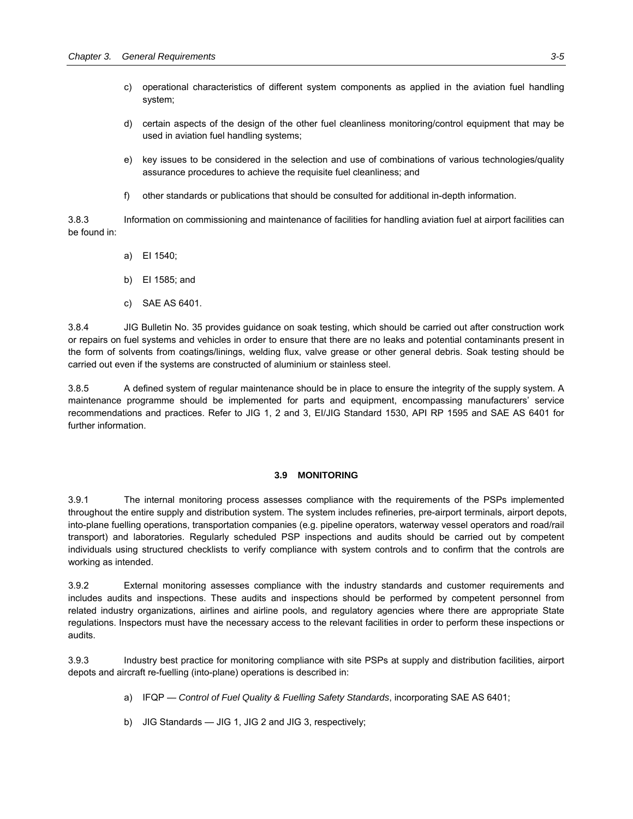- c) operational characteristics of different system components as applied in the aviation fuel handling system;
- d) certain aspects of the design of the other fuel cleanliness monitoring/control equipment that may be used in aviation fuel handling systems;
- e) key issues to be considered in the selection and use of combinations of various technologies/quality assurance procedures to achieve the requisite fuel cleanliness; and
- f) other standards or publications that should be consulted for additional in-depth information.

3.8.3 Information on commissioning and maintenance of facilities for handling aviation fuel at airport facilities can be found in:

- a) EI 1540;
- b) EI 1585; and
- c) SAE AS 6401.

3.8.4 JIG Bulletin No. 35 provides guidance on soak testing, which should be carried out after construction work or repairs on fuel systems and vehicles in order to ensure that there are no leaks and potential contaminants present in the form of solvents from coatings/linings, welding flux, valve grease or other general debris. Soak testing should be carried out even if the systems are constructed of aluminium or stainless steel.

3.8.5 A defined system of regular maintenance should be in place to ensure the integrity of the supply system. A maintenance programme should be implemented for parts and equipment, encompassing manufacturers' service recommendations and practices. Refer to JIG 1, 2 and 3, EI/JIG Standard 1530, API RP 1595 and SAE AS 6401 for further information.

### **3.9 MONITORING**

3.9.1 The internal monitoring process assesses compliance with the requirements of the PSPs implemented throughout the entire supply and distribution system. The system includes refineries, pre-airport terminals, airport depots, into-plane fuelling operations, transportation companies (e.g. pipeline operators, waterway vessel operators and road/rail transport) and laboratories. Regularly scheduled PSP inspections and audits should be carried out by competent individuals using structured checklists to verify compliance with system controls and to confirm that the controls are working as intended.

3.9.2 External monitoring assesses compliance with the industry standards and customer requirements and includes audits and inspections. These audits and inspections should be performed by competent personnel from related industry organizations, airlines and airline pools, and regulatory agencies where there are appropriate State regulations. Inspectors must have the necessary access to the relevant facilities in order to perform these inspections or audits.

3.9.3 Industry best practice for monitoring compliance with site PSPs at supply and distribution facilities, airport depots and aircraft re-fuelling (into-plane) operations is described in:

- a) IFQP *Control of Fuel Quality & Fuelling Safety Standards*, incorporating SAE AS 6401;
- b) JIG Standards JIG 1, JIG 2 and JIG 3, respectively;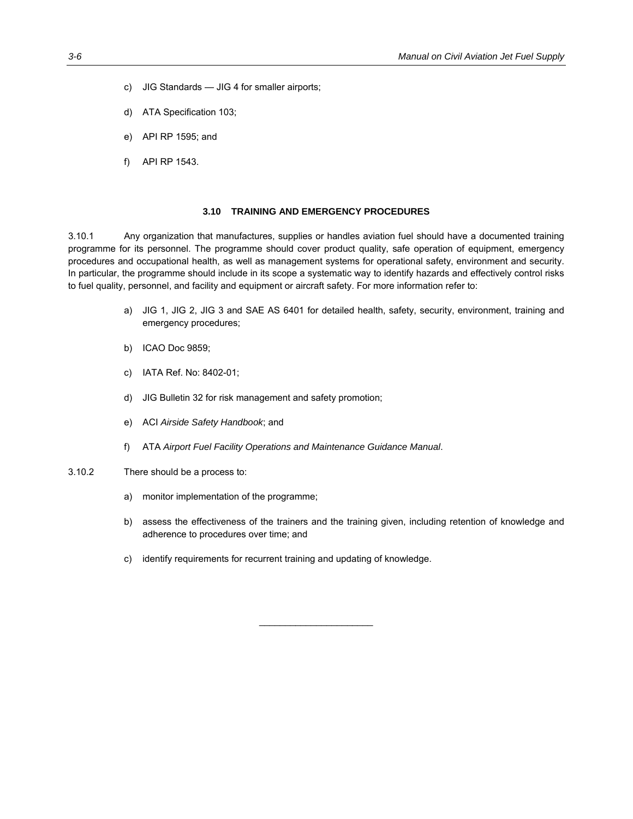- c) JIG Standards JIG 4 for smaller airports;
- d) ATA Specification 103;
- e) API RP 1595; and
- f) API RP 1543.

### **3.10 TRAINING AND EMERGENCY PROCEDURES**

3.10.1 Any organization that manufactures, supplies or handles aviation fuel should have a documented training programme for its personnel. The programme should cover product quality, safe operation of equipment, emergency procedures and occupational health, as well as management systems for operational safety, environment and security. In particular, the programme should include in its scope a systematic way to identify hazards and effectively control risks to fuel quality, personnel, and facility and equipment or aircraft safety. For more information refer to:

- a) JIG 1, JIG 2, JIG 3 and SAE AS 6401 for detailed health, safety, security, environment, training and emergency procedures;
- b) ICAO Doc 9859;
- c) IATA Ref. No: 8402-01;
- d) JIG Bulletin 32 for risk management and safety promotion;
- e) ACI *Airside Safety Handbook*; and
- f) ATA *Airport Fuel Facility Operations and Maintenance Guidance Manual*.
- 3.10.2 There should be a process to:
	- a) monitor implementation of the programme;
	- b) assess the effectiveness of the trainers and the training given, including retention of knowledge and adherence to procedures over time; and

 $\mathcal{L}_\text{max}$  , where  $\mathcal{L}_\text{max}$ 

c) identify requirements for recurrent training and updating of knowledge.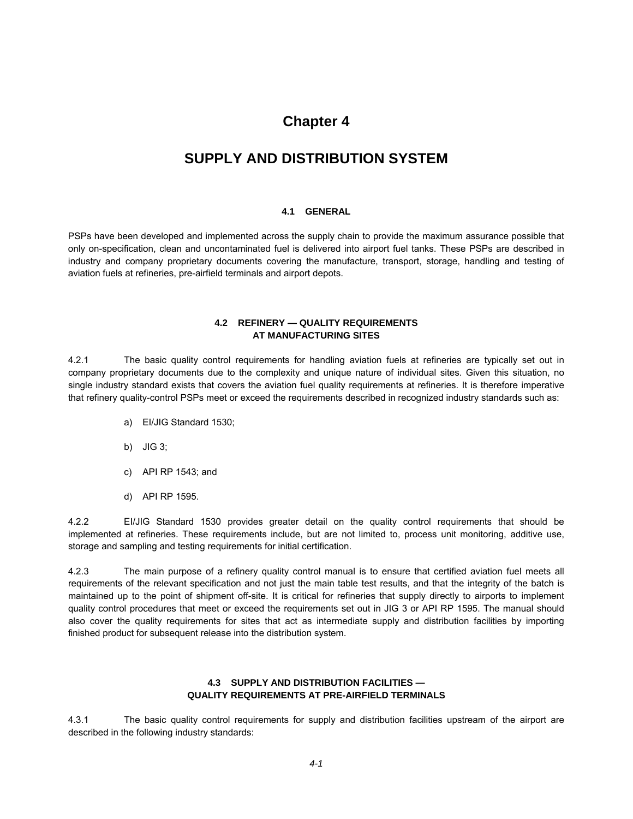### **Chapter 4**

## **SUPPLY AND DISTRIBUTION SYSTEM**

### **4.1 GENERAL**

PSPs have been developed and implemented across the supply chain to provide the maximum assurance possible that only on-specification, clean and uncontaminated fuel is delivered into airport fuel tanks. These PSPs are described in industry and company proprietary documents covering the manufacture, transport, storage, handling and testing of aviation fuels at refineries, pre-airfield terminals and airport depots.

### **4.2 REFINERY — QUALITY REQUIREMENTS AT MANUFACTURING SITES**

4.2.1 The basic quality control requirements for handling aviation fuels at refineries are typically set out in company proprietary documents due to the complexity and unique nature of individual sites. Given this situation, no single industry standard exists that covers the aviation fuel quality requirements at refineries. It is therefore imperative that refinery quality-control PSPs meet or exceed the requirements described in recognized industry standards such as:

- a) EI/JIG Standard 1530;
- b) JIG 3;
- c) API RP 1543; and
- d) API RP 1595.

4.2.2 EI/JIG Standard 1530 provides greater detail on the quality control requirements that should be implemented at refineries. These requirements include, but are not limited to, process unit monitoring, additive use, storage and sampling and testing requirements for initial certification.

4.2.3 The main purpose of a refinery quality control manual is to ensure that certified aviation fuel meets all requirements of the relevant specification and not just the main table test results, and that the integrity of the batch is maintained up to the point of shipment off-site. It is critical for refineries that supply directly to airports to implement quality control procedures that meet or exceed the requirements set out in JIG 3 or API RP 1595. The manual should also cover the quality requirements for sites that act as intermediate supply and distribution facilities by importing finished product for subsequent release into the distribution system.

### **4.3 SUPPLY AND DISTRIBUTION FACILITIES — QUALITY REQUIREMENTS AT PRE-AIRFIELD TERMINALS**

4.3.1 The basic quality control requirements for supply and distribution facilities upstream of the airport are described in the following industry standards: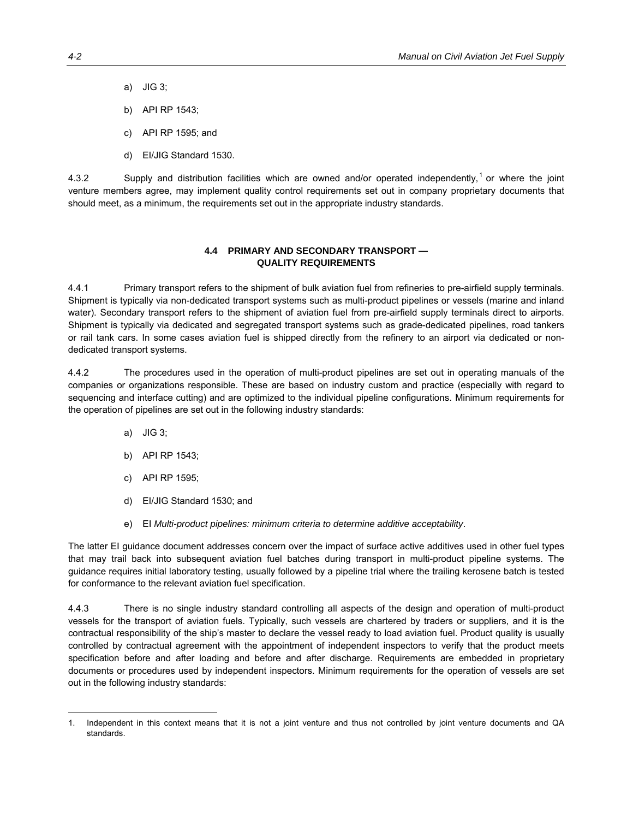- a) JIG 3;
- b) API RP 1543;
- c) API RP 1595; and
- d) EI/JIG Standard 1530.

4.3.2 Supply and distribution facilities which are owned and/or operated independently,<sup>1</sup> or where the joint venture members agree, may implement quality control requirements set out in company proprietary documents that should meet, as a minimum, the requirements set out in the appropriate industry standards.

### **4.4 PRIMARY AND SECONDARY TRANSPORT — QUALITY REQUIREMENTS**

4.4.1 Primary transport refers to the shipment of bulk aviation fuel from refineries to pre-airfield supply terminals. Shipment is typically via non-dedicated transport systems such as multi-product pipelines or vessels (marine and inland water). Secondary transport refers to the shipment of aviation fuel from pre-airfield supply terminals direct to airports. Shipment is typically via dedicated and segregated transport systems such as grade-dedicated pipelines, road tankers or rail tank cars. In some cases aviation fuel is shipped directly from the refinery to an airport via dedicated or nondedicated transport systems.

4.4.2 The procedures used in the operation of multi-product pipelines are set out in operating manuals of the companies or organizations responsible. These are based on industry custom and practice (especially with regard to sequencing and interface cutting) and are optimized to the individual pipeline configurations. Minimum requirements for the operation of pipelines are set out in the following industry standards:

a) JIG 3;

 $\overline{a}$ 

- b) API RP 1543;
- c) API RP 1595;
- d) EI/JIG Standard 1530; and
- e) EI *Multi-product pipelines: minimum criteria to determine additive acceptability*.

The latter EI guidance document addresses concern over the impact of surface active additives used in other fuel types that may trail back into subsequent aviation fuel batches during transport in multi-product pipeline systems. The guidance requires initial laboratory testing, usually followed by a pipeline trial where the trailing kerosene batch is tested for conformance to the relevant aviation fuel specification.

4.4.3 There is no single industry standard controlling all aspects of the design and operation of multi-product vessels for the transport of aviation fuels. Typically, such vessels are chartered by traders or suppliers, and it is the contractual responsibility of the ship's master to declare the vessel ready to load aviation fuel. Product quality is usually controlled by contractual agreement with the appointment of independent inspectors to verify that the product meets specification before and after loading and before and after discharge. Requirements are embedded in proprietary documents or procedures used by independent inspectors. Minimum requirements for the operation of vessels are set out in the following industry standards:

<sup>1.</sup> Independent in this context means that it is not a joint venture and thus not controlled by joint venture documents and QA standards.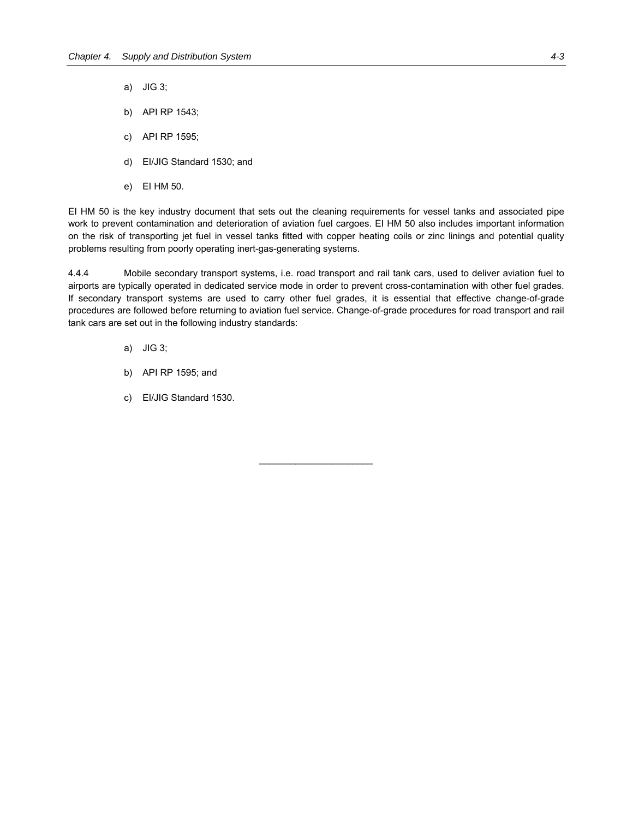- a) JIG 3;
- b) API RP 1543;
- c) API RP 1595;
- d) EI/JIG Standard 1530; and
- e) EI HM 50.

EI HM 50 is the key industry document that sets out the cleaning requirements for vessel tanks and associated pipe work to prevent contamination and deterioration of aviation fuel cargoes. EI HM 50 also includes important information on the risk of transporting jet fuel in vessel tanks fitted with copper heating coils or zinc linings and potential quality problems resulting from poorly operating inert-gas-generating systems.

4.4.4 Mobile secondary transport systems, i.e. road transport and rail tank cars, used to deliver aviation fuel to airports are typically operated in dedicated service mode in order to prevent cross-contamination with other fuel grades. If secondary transport systems are used to carry other fuel grades, it is essential that effective change-of-grade procedures are followed before returning to aviation fuel service. Change-of-grade procedures for road transport and rail tank cars are set out in the following industry standards:

 $\mathcal{L}_\text{max}$  , where  $\mathcal{L}_\text{max}$ 

- a) JIG 3;
- b) API RP 1595; and
- c) EI/JIG Standard 1530.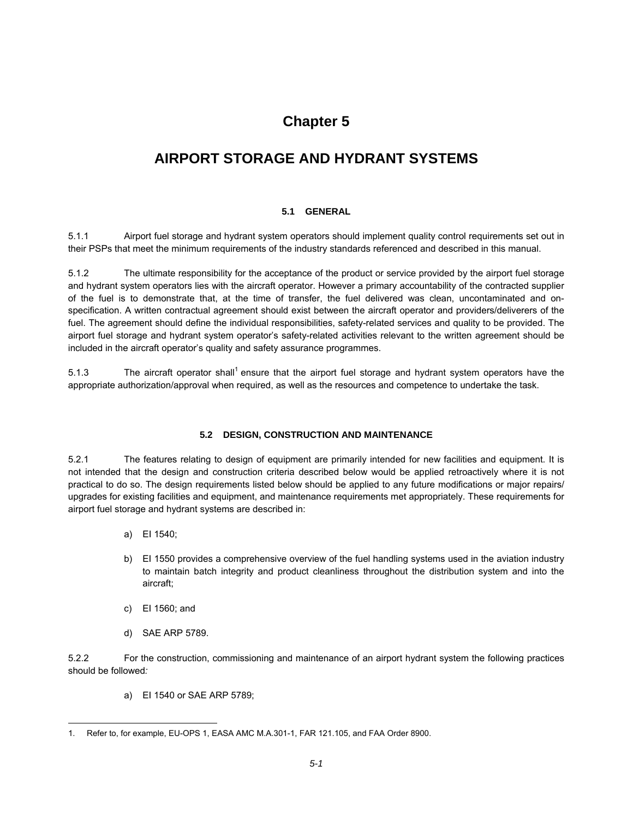# **Chapter 5**

# **AIRPORT STORAGE AND HYDRANT SYSTEMS**

### **5.1 GENERAL**

5.1.1 Airport fuel storage and hydrant system operators should implement quality control requirements set out in their PSPs that meet the minimum requirements of the industry standards referenced and described in this manual.

5.1.2 The ultimate responsibility for the acceptance of the product or service provided by the airport fuel storage and hydrant system operators lies with the aircraft operator. However a primary accountability of the contracted supplier of the fuel is to demonstrate that, at the time of transfer, the fuel delivered was clean, uncontaminated and onspecification. A written contractual agreement should exist between the aircraft operator and providers/deliverers of the fuel. The agreement should define the individual responsibilities, safety-related services and quality to be provided. The airport fuel storage and hydrant system operator's safety-related activities relevant to the written agreement should be included in the aircraft operator's quality and safety assurance programmes.

5.1.3 The aircraft operator shall<sup>1</sup> ensure that the airport fuel storage and hydrant system operators have the appropriate authorization/approval when required, as well as the resources and competence to undertake the task.

### **5.2 DESIGN, CONSTRUCTION AND MAINTENANCE**

5.2.1 The features relating to design of equipment are primarily intended for new facilities and equipment. It is not intended that the design and construction criteria described below would be applied retroactively where it is not practical to do so. The design requirements listed below should be applied to any future modifications or major repairs/ upgrades for existing facilities and equipment, and maintenance requirements met appropriately. These requirements for airport fuel storage and hydrant systems are described in:

- a) EI 1540;
- b) EI 1550 provides a comprehensive overview of the fuel handling systems used in the aviation industry to maintain batch integrity and product cleanliness throughout the distribution system and into the aircraft;
- c) EI 1560; and

-

d) SAE ARP 5789.

5.2.2 For the construction, commissioning and maintenance of an airport hydrant system the following practices should be followed*:*

a) EI 1540 or SAE ARP 5789;

<sup>1.</sup> Refer to, for example, EU-OPS 1, EASA AMC M.A.301-1, FAR 121.105, and FAA Order 8900.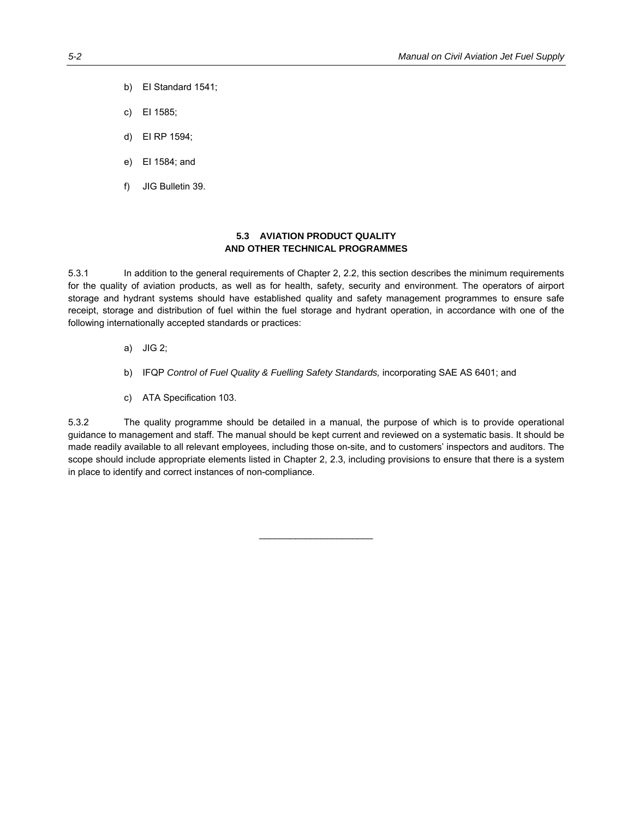- b) EI Standard 1541;
- c) EI 1585;
- d) EI RP 1594;
- e) EI 1584; and
- f) JIG Bulletin 39.

### **5.3 AVIATION PRODUCT QUALITY AND OTHER TECHNICAL PROGRAMMES**

5.3.1 In addition to the general requirements of Chapter 2, 2.2, this section describes the minimum requirements for the quality of aviation products, as well as for health, safety, security and environment. The operators of airport storage and hydrant systems should have established quality and safety management programmes to ensure safe receipt, storage and distribution of fuel within the fuel storage and hydrant operation, in accordance with one of the following internationally accepted standards or practices:

- a) JIG 2;
- b) IFQP *Control of Fuel Quality & Fuelling Safety Standards,* incorporating SAE AS 6401; and
- c) ATA Specification 103.

5.3.2 The quality programme should be detailed in a manual, the purpose of which is to provide operational guidance to management and staff. The manual should be kept current and reviewed on a systematic basis. It should be made readily available to all relevant employees, including those on-site, and to customers' inspectors and auditors. The scope should include appropriate elements listed in Chapter 2, 2.3, including provisions to ensure that there is a system in place to identify and correct instances of non-compliance.

 $\mathcal{L}_\text{max}$  , where  $\mathcal{L}_\text{max}$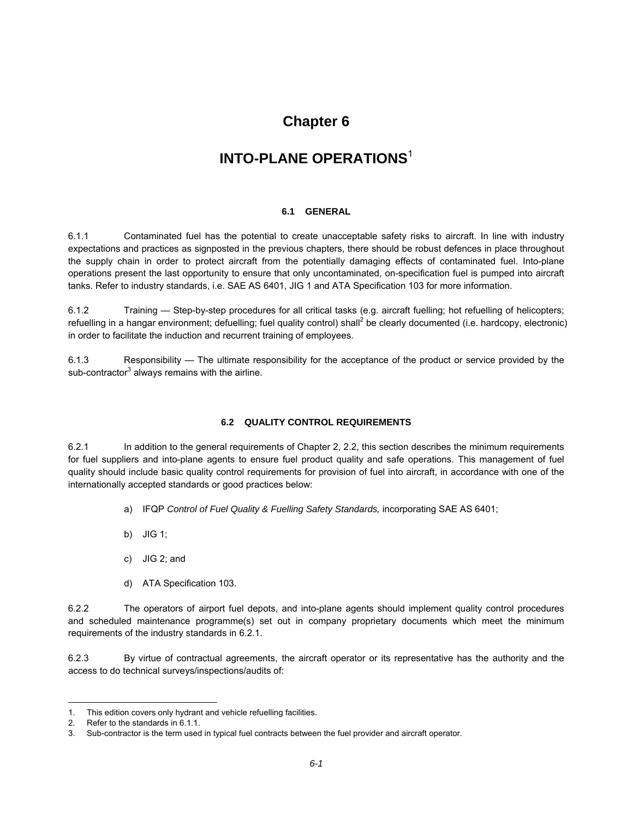### **Chapter 6**

# **INTO-PLANE OPERATIONS**<sup>1</sup>

### **6.1 GENERAL**

6.1.1 Contaminated fuel has the potential to create unacceptable safety risks to aircraft. In line with industry expectations and practices as signposted in the previous chapters, there should be robust defences in place throughout the supply chain in order to protect aircraft from the potentially damaging effects of contaminated fuel. Into-plane operations present the last opportunity to ensure that only uncontaminated, on-specification fuel is pumped into aircraft tanks. Refer to industry standards, i.e. SAE AS 6401, JIG 1 and ATA Specification 103 for more information.

6.1.2 Training — Step-by-step procedures for all critical tasks (e.g. aircraft fuelling; hot refuelling of helicopters; refuelling in a hangar environment; defuelling; fuel quality control) shall<sup>2</sup> be clearly documented (i.e. hardcopy, electronic) in order to facilitate the induction and recurrent training of employees.

6.1.3 Responsibility — The ultimate responsibility for the acceptance of the product or service provided by the sub-contractor<sup>3</sup> always remains with the airline.

### **6.2 QUALITY CONTROL REQUIREMENTS**

6.2.1 In addition to the general requirements of Chapter 2, 2.2, this section describes the minimum requirements for fuel suppliers and into-plane agents to ensure fuel product quality and safe operations. This management of fuel quality should include basic quality control requirements for provision of fuel into aircraft, in accordance with one of the internationally accepted standards or good practices below:

- a) IFQP *Control of Fuel Quality & Fuelling Safety Standards,* incorporating SAE AS 6401;
- b) JIG 1;
- c) JIG 2; and
- d) ATA Specification 103.

6.2.2 The operators of airport fuel depots, and into-plane agents should implement quality control procedures and scheduled maintenance programme(s) set out in company proprietary documents which meet the minimum requirements of the industry standards in 6.2.1.

6.2.3 By virtue of contractual agreements, the aircraft operator or its representative has the authority and the access to do technical surveys/inspections/audits of:

 $\overline{a}$ 

<sup>1.</sup> This edition covers only hydrant and vehicle refuelling facilities.

<sup>2.</sup> Refer to the standards in 6.1.1.

<sup>3.</sup> Sub-contractor is the term used in typical fuel contracts between the fuel provider and aircraft operator.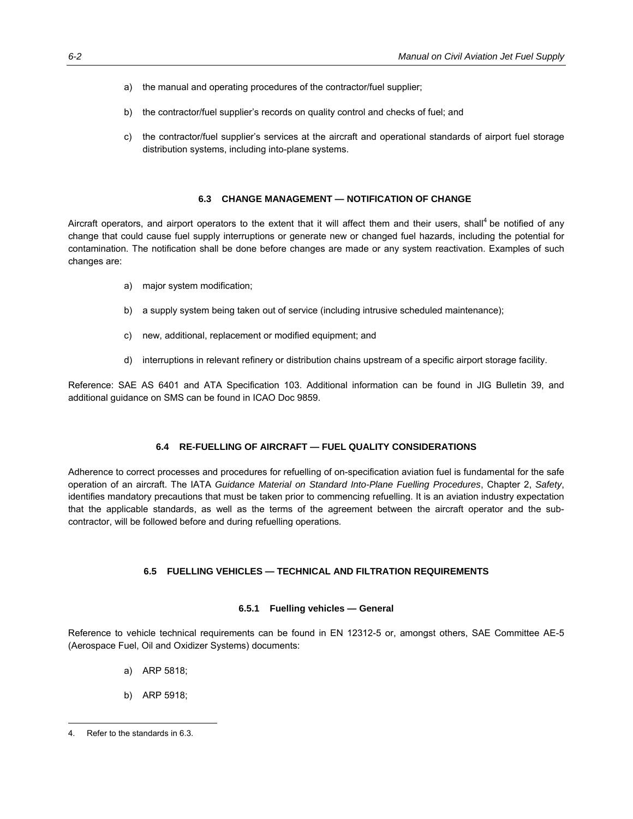- a) the manual and operating procedures of the contractor/fuel supplier;
- b) the contractor/fuel supplier's records on quality control and checks of fuel; and
- c) the contractor/fuel supplier's services at the aircraft and operational standards of airport fuel storage distribution systems, including into-plane systems.

### **6.3 CHANGE MANAGEMENT — NOTIFICATION OF CHANGE**

Aircraft operators, and airport operators to the extent that it will affect them and their users, shall<sup>4</sup> be notified of any change that could cause fuel supply interruptions or generate new or changed fuel hazards, including the potential for contamination. The notification shall be done before changes are made or any system reactivation. Examples of such changes are:

- a) major system modification;
- b) a supply system being taken out of service (including intrusive scheduled maintenance);
- c) new, additional, replacement or modified equipment; and
- d) interruptions in relevant refinery or distribution chains upstream of a specific airport storage facility.

Reference: SAE AS 6401 and ATA Specification 103. Additional information can be found in JIG Bulletin 39, and additional guidance on SMS can be found in ICAO Doc 9859.

### **6.4 RE-FUELLING OF AIRCRAFT — FUEL QUALITY CONSIDERATIONS**

Adherence to correct processes and procedures for refuelling of on-specification aviation fuel is fundamental for the safe operation of an aircraft. The IATA *Guidance Material on Standard Into-Plane Fuelling Procedures*, Chapter 2, *Safety*, identifies mandatory precautions that must be taken prior to commencing refuelling. It is an aviation industry expectation that the applicable standards, as well as the terms of the agreement between the aircraft operator and the subcontractor, will be followed before and during refuelling operations*.* 

### **6.5 FUELLING VEHICLES — TECHNICAL AND FILTRATION REQUIREMENTS**

### **6.5.1 Fuelling vehicles — General**

Reference to vehicle technical requirements can be found in EN 12312-5 or, amongst others, SAE Committee AE-5 (Aerospace Fuel, Oil and Oxidizer Systems) documents:

- a) ARP 5818;
- b) ARP 5918;

<sup>-</sup>4. Refer to the standards in 6.3.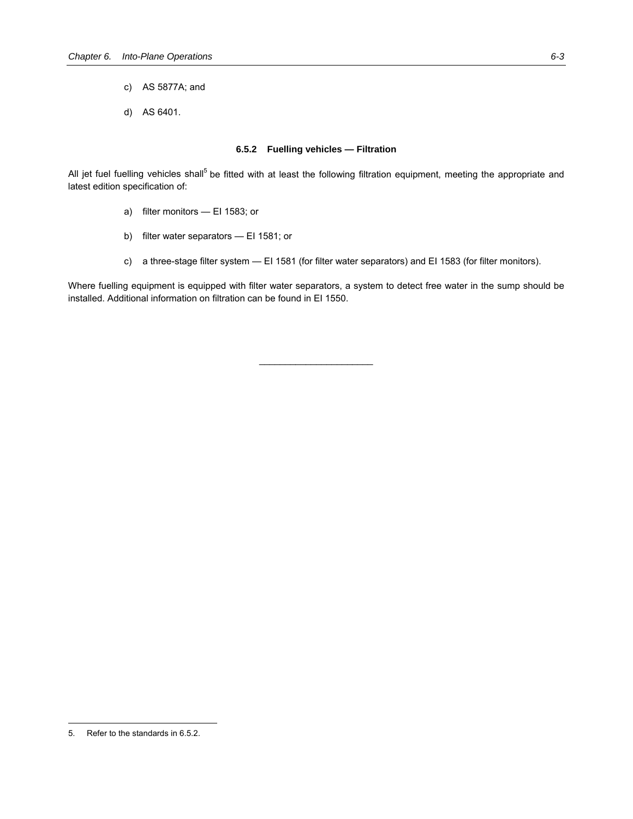- c) AS 5877A; and
- d) AS 6401.

### **6.5.2 Fuelling vehicles — Filtration**

All jet fuel fuelling vehicles shall<sup>5</sup> be fitted with at least the following filtration equipment, meeting the appropriate and latest edition specification of:

- a) filter monitors EI 1583; or
- b) filter water separators EI 1581; or
- c) a three-stage filter system EI 1581 (for filter water separators) and EI 1583 (for filter monitors).

Where fuelling equipment is equipped with filter water separators, a system to detect free water in the sump should be installed. Additional information on filtration can be found in EI 1550.

 $\mathcal{L}_\text{max}$  , where  $\mathcal{L}_\text{max}$ 

-

<sup>5.</sup> Refer to the standards in 6.5.2.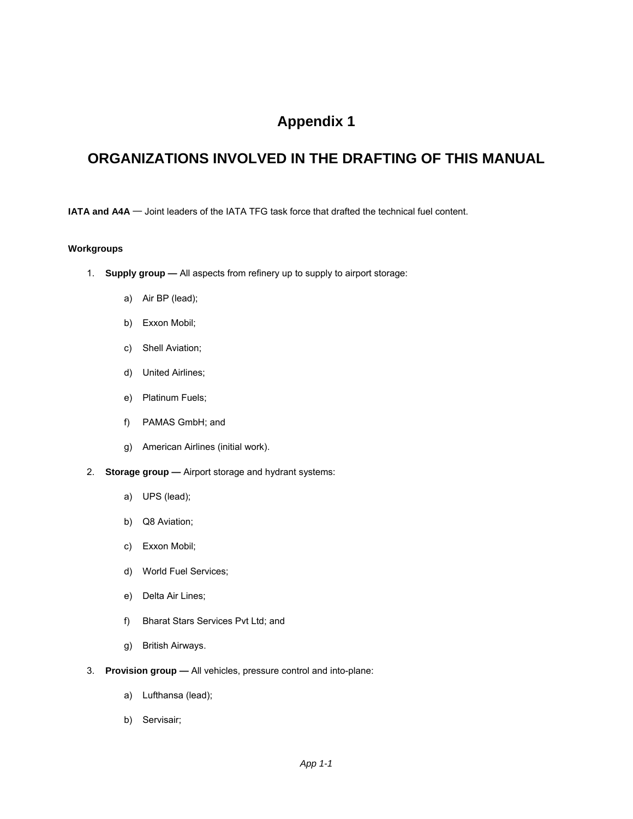# **Appendix 1**

# **ORGANIZATIONS INVOLVED IN THE DRAFTING OF THIS MANUAL**

**IATA and A4A** ─ Joint leaders of the IATA TFG task force that drafted the technical fuel content.

### **Workgroups**

- 1. **Supply group** All aspects from refinery up to supply to airport storage:
	- a) Air BP (lead);
	- b) Exxon Mobil;
	- c) Shell Aviation;
	- d) United Airlines;
	- e) Platinum Fuels;
	- f) PAMAS GmbH; and
	- g) American Airlines (initial work).
- 2. **Storage group —** Airport storage and hydrant systems:
	- a) UPS (lead);
	- b) Q8 Aviation;
	- c) Exxon Mobil;
	- d) World Fuel Services;
	- e) Delta Air Lines;
	- f) Bharat Stars Services Pvt Ltd; and
	- g) British Airways.
- 3. **Provision group —** All vehicles, pressure control and into-plane:
	- a) Lufthansa (lead);
	- b) Servisair;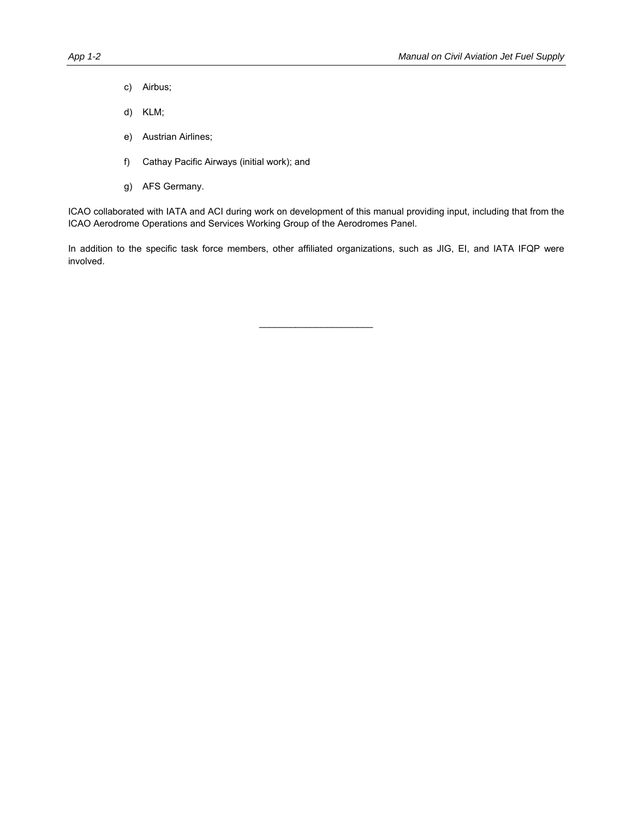- c) Airbus;
- d) KLM;
- e) Austrian Airlines;
- f) Cathay Pacific Airways (initial work); and
- g) AFS Germany.

ICAO collaborated with IATA and ACI during work on development of this manual providing input, including that from the ICAO Aerodrome Operations and Services Working Group of the Aerodromes Panel.

In addition to the specific task force members, other affiliated organizations, such as JIG, EI, and IATA IFQP were involved.

 $\mathcal{L}_\text{max}$  , where  $\mathcal{L}_\text{max}$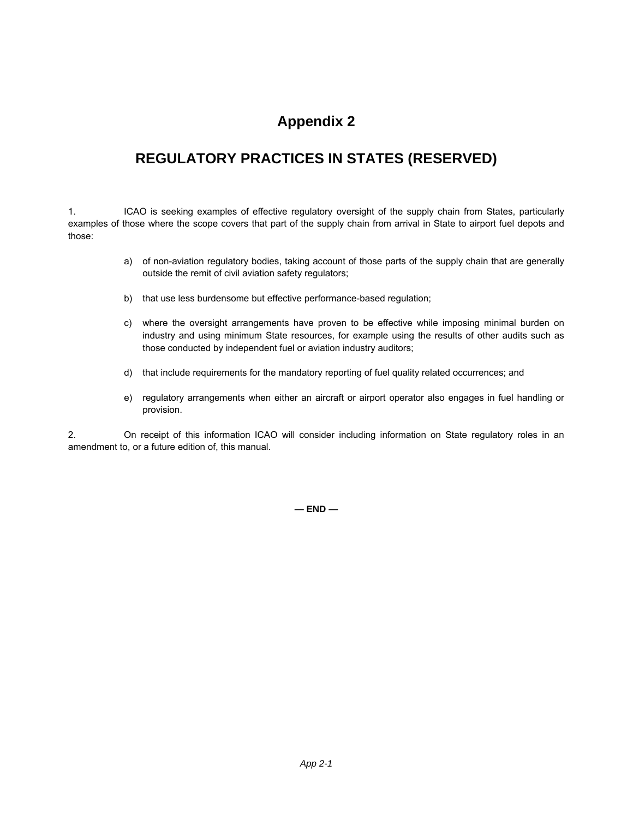# **Appendix 2**

# **REGULATORY PRACTICES IN STATES (RESERVED)**

1. ICAO is seeking examples of effective regulatory oversight of the supply chain from States, particularly examples of those where the scope covers that part of the supply chain from arrival in State to airport fuel depots and those:

- a) of non-aviation regulatory bodies, taking account of those parts of the supply chain that are generally outside the remit of civil aviation safety regulators;
- b) that use less burdensome but effective performance-based regulation;
- c) where the oversight arrangements have proven to be effective while imposing minimal burden on industry and using minimum State resources, for example using the results of other audits such as those conducted by independent fuel or aviation industry auditors;
- d) that include requirements for the mandatory reporting of fuel quality related occurrences; and
- e) regulatory arrangements when either an aircraft or airport operator also engages in fuel handling or provision.

2. On receipt of this information ICAO will consider including information on State regulatory roles in an amendment to, or a future edition of, this manual.

**— END —**